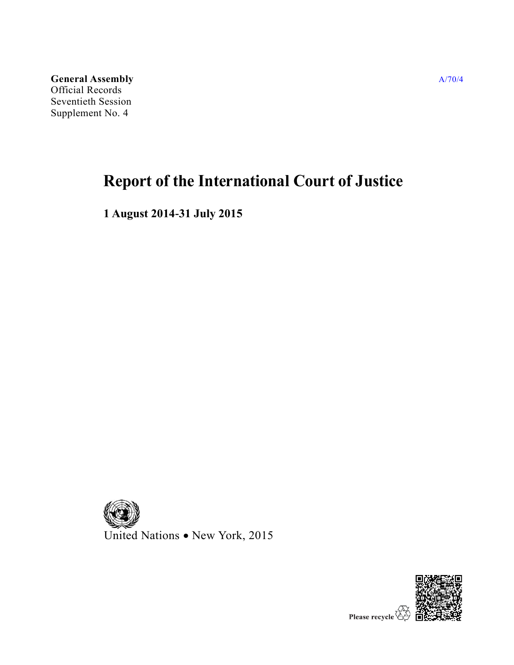**General Assembly** Official Records Seventieth Session Supplement No. 4

# **Report of the International Court of Justice**

**1 August 2014-31 July 2015**



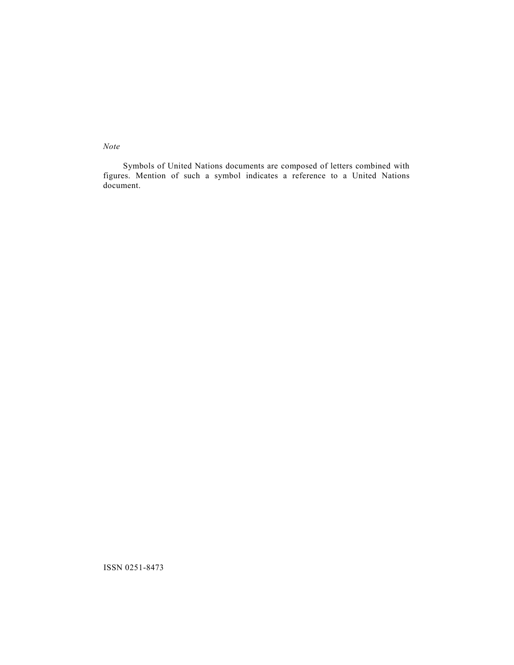*Note*

Symbols of United Nations documents are composed of letters combined with figures. Mention of such a symbol indicates a reference to a United Nations document.

ISSN 0251-8473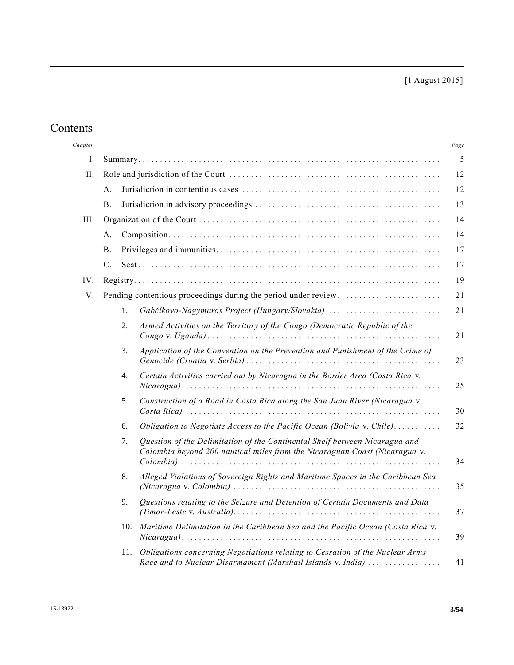[1 August 2015]

## Contents

| Chapter |                 |     |                                                                                                                                                           | Page |  |  |
|---------|-----------------|-----|-----------------------------------------------------------------------------------------------------------------------------------------------------------|------|--|--|
| Ι.      | 5               |     |                                                                                                                                                           |      |  |  |
| II.     |                 |     |                                                                                                                                                           |      |  |  |
|         | A.              |     |                                                                                                                                                           |      |  |  |
|         | Β.              |     |                                                                                                                                                           |      |  |  |
| III.    |                 |     |                                                                                                                                                           |      |  |  |
|         | А.              |     |                                                                                                                                                           |      |  |  |
|         | Β.              |     |                                                                                                                                                           | 17   |  |  |
|         | $\mathcal{C}$ . |     |                                                                                                                                                           | 17   |  |  |
| IV.     |                 |     |                                                                                                                                                           |      |  |  |
| V.      |                 |     | Pending contentious proceedings during the period under review                                                                                            | 21   |  |  |
|         |                 | 1.  | Gabčíkovo-Nagymaros Project (Hungary/Slovakia)                                                                                                            | 21   |  |  |
|         |                 | 2.  | Armed Activities on the Territory of the Congo (Democratic Republic of the                                                                                | 21   |  |  |
|         |                 | 3.  | Application of the Convention on the Prevention and Punishment of the Crime of                                                                            | 23   |  |  |
|         |                 | 4.  | Certain Activities carried out by Nicaragua in the Border Area (Costa Rica v.                                                                             | 25   |  |  |
|         |                 | 5.  | Construction of a Road in Costa Rica along the San Juan River (Nicaragua v.                                                                               | 30   |  |  |
|         |                 | 6.  | Obligation to Negotiate Access to the Pacific Ocean (Bolivia v. Chile)                                                                                    | 32   |  |  |
|         |                 | 7.  | Question of the Delimitation of the Continental Shelf between Nicaragua and<br>Colombia beyond 200 nautical miles from the Nicaraguan Coast (Nicaragua v. | 34   |  |  |
|         |                 | 8.  | Alleged Violations of Sovereign Rights and Maritime Spaces in the Caribbean Sea                                                                           | 35   |  |  |
|         |                 | 9.  | Questions relating to the Seizure and Detention of Certain Documents and Data                                                                             | 37   |  |  |
|         |                 | 10. | Maritime Delimitation in the Caribbean Sea and the Pacific Ocean (Costa Rica v.                                                                           | 39   |  |  |
|         |                 | 11. | Obligations concerning Negotiations relating to Cessation of the Nuclear Arms<br>Race and to Nuclear Disarmament (Marshall Islands v. India)              | 41   |  |  |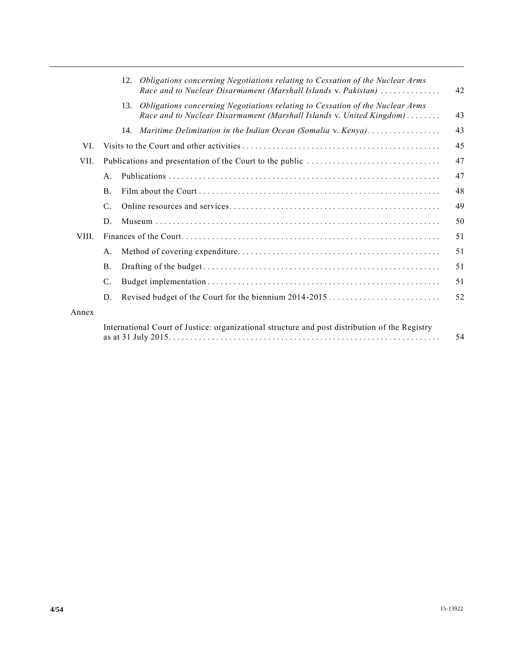|       |                                                                                                | Obligations concerning Negotiations relating to Cessation of the Nuclear Arms<br>12.<br>Race and to Nuclear Disarmament (Marshall Islands v. Pakistan)       | 42 |  |  |
|-------|------------------------------------------------------------------------------------------------|--------------------------------------------------------------------------------------------------------------------------------------------------------------|----|--|--|
|       |                                                                                                | Obligations concerning Negotiations relating to Cessation of the Nuclear Arms<br>13.<br>Race and to Nuclear Disarmament (Marshall Islands v. United Kingdom) | 43 |  |  |
|       |                                                                                                | 14. Maritime Delimitation in the Indian Ocean (Somalia v. Kenya)                                                                                             | 43 |  |  |
| VI.   |                                                                                                | 45                                                                                                                                                           |    |  |  |
| VII.  |                                                                                                |                                                                                                                                                              | 47 |  |  |
|       | A.                                                                                             |                                                                                                                                                              | 47 |  |  |
|       | <b>B.</b>                                                                                      |                                                                                                                                                              | 48 |  |  |
|       | $\mathcal{C}$ .                                                                                |                                                                                                                                                              | 49 |  |  |
|       | D.                                                                                             |                                                                                                                                                              | 50 |  |  |
| VIII. |                                                                                                |                                                                                                                                                              |    |  |  |
|       | A.                                                                                             |                                                                                                                                                              | 51 |  |  |
|       | <b>B.</b>                                                                                      |                                                                                                                                                              | 51 |  |  |
|       | C.                                                                                             |                                                                                                                                                              | 51 |  |  |
|       | D.                                                                                             | Revised budget of the Court for the biennium 2014-2015                                                                                                       | 52 |  |  |
| Annex |                                                                                                |                                                                                                                                                              |    |  |  |
|       | International Court of Justice: organizational structure and post distribution of the Registry |                                                                                                                                                              |    |  |  |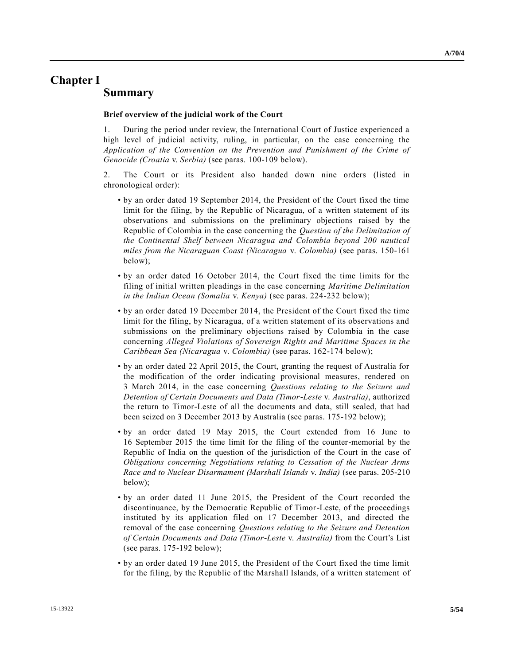### **Chapter I Summary**

#### **Brief overview of the judicial work of the Court**

1. During the period under review, the International Court of Justice experienced a high level of judicial activity, ruling, in particular, on the case concerning the *Application of the Convention on the Prevention and Punishment of the Crime of Genocide (Croatia* v. *Serbia)* (see paras. 100-109 below).

2. The Court or its President also handed down nine orders (listed in chronological order):

- by an order dated 19 September 2014, the President of the Court fixed the time limit for the filing, by the Republic of Nicaragua, of a written statement of its observations and submissions on the preliminary objections raised by the Republic of Colombia in the case concerning the *Question of the Delimitation of the Continental Shelf between Nicaragua and Colombia beyond 200 nautical miles from the Nicaraguan Coast (Nicaragua* v. *Colombia)* (see paras. 150-161 below);
- by an order dated 16 October 2014, the Court fixed the time limits for the filing of initial written pleadings in the case concerning *Maritime Delimitation in the Indian Ocean (Somalia* v. *Kenya)* (see paras. 224-232 below);
- by an order dated 19 December 2014, the President of the Court fixed the time limit for the filing, by Nicaragua, of a written statement of its observations and submissions on the preliminary objections raised by Colombia in the case concerning *Alleged Violations of Sovereign Rights and Maritime Spaces in the Caribbean Sea (Nicaragua* v. *Colombia)* (see paras. 162-174 below);
- by an order dated 22 April 2015, the Court, granting the request of Australia for the modification of the order indicating provisional measures, rendered on 3 March 2014, in the case concerning *Questions relating to the Seizure and Detention of Certain Documents and Data (Timor-Leste* v. *Australia)*, authorized the return to Timor-Leste of all the documents and data, still sealed, that had been seized on 3 December 2013 by Australia (see paras. 175-192 below);
- by an order dated 19 May 2015, the Court extended from 16 June to 16 September 2015 the time limit for the filing of the counter-memorial by the Republic of India on the question of the jurisdiction of the Court in the case of *Obligations concerning Negotiations relating to Cessation of the Nuclear Arms Race and to Nuclear Disarmament (Marshall Islands* v. *India)* (see paras. 205-210 below);
- by an order dated 11 June 2015, the President of the Court recorded the discontinuance, by the Democratic Republic of Timor-Leste, of the proceedings instituted by its application filed on 17 December 2013, and directed the removal of the case concerning *Questions relating to the Seizure and Detention of Certain Documents and Data (Timor-Leste* v. *Australia)* from the Court's List (see paras. 175-192 below);
- by an order dated 19 June 2015, the President of the Court fixed the time limit for the filing, by the Republic of the Marshall Islands, of a written statement of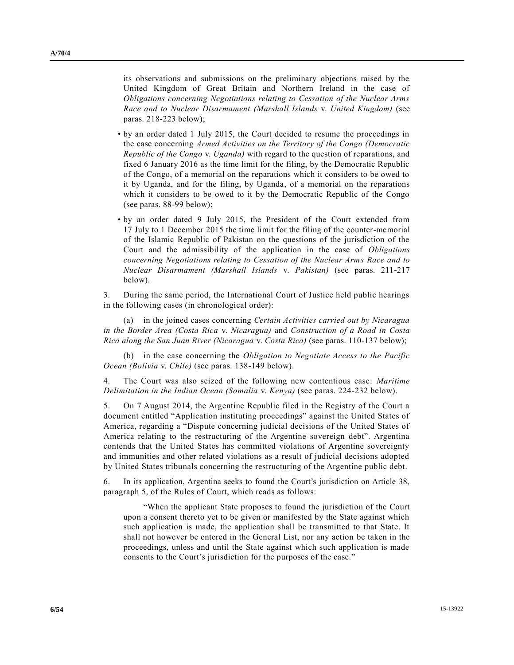its observations and submissions on the preliminary objections raised by the United Kingdom of Great Britain and Northern Ireland in the case of *Obligations concerning Negotiations relating to Cessation of the Nuclear Arms Race and to Nuclear Disarmament (Marshall Islands* v. *United Kingdom)* (see paras. 218-223 below);

- by an order dated 1 July 2015, the Court decided to resume the proceedings in the case concerning *Armed Activities on the Territory of the Congo (Democratic Republic of the Congo* v. *Uganda)* with regard to the question of reparations, and fixed 6 January 2016 as the time limit for the filing, by the Democratic Republic of the Congo, of a memorial on the reparations which it considers to be owed to it by Uganda, and for the filing, by Uganda, of a memorial on the reparations which it considers to be owed to it by the Democratic Republic of the Congo (see paras. 88-99 below);
- by an order dated 9 July 2015, the President of the Court extended from 17 July to 1 December 2015 the time limit for the filing of the counter-memorial of the Islamic Republic of Pakistan on the questions of the jurisdiction of the Court and the admissibility of the application in the case of *Obligations concerning Negotiations relating to Cessation of the Nuclear Arms Race and to Nuclear Disarmament (Marshall Islands* v. *Pakistan)* (see paras. 211-217 below).

3. During the same period, the International Court of Justice held public hearings in the following cases (in chronological order):

(a) in the joined cases concerning *Certain Activities carried out by Nicaragua in the Border Area (Costa Rica* v. *Nicaragua)* and *Construction of a Road in Costa Rica along the San Juan River (Nicaragua* v. *Costa Rica)* (see paras. 110-137 below);

(b) in the case concerning the *Obligation to Negotiate Access to the Pacific Ocean (Bolivia* v. *Chile)* (see paras. 138-149 below).

4. The Court was also seized of the following new contentious case: *Maritime Delimitation in the Indian Ocean (Somalia* v. *Kenya)* (see paras. 224-232 below).

5. On 7 August 2014, the Argentine Republic filed in the Registry of the Court a document entitled "Application instituting proceedings" against the United States of America, regarding a "Dispute concerning judicial decisions of the United States of America relating to the restructuring of the Argentine sovereign debt". Argentina contends that the United States has committed violations of Argentine sovereignty and immunities and other related violations as a result of judicial decisions adopted by United States tribunals concerning the restructuring of the Argentine public debt.

6. In its application, Argentina seeks to found the Court's jurisdiction on Article 38, paragraph 5, of the Rules of Court, which reads as follows:

"When the applicant State proposes to found the jurisdiction of the Court upon a consent thereto yet to be given or manifested by the State against which such application is made, the application shall be transmitted to that State. It shall not however be entered in the General List, nor any action be taken in the proceedings, unless and until the State against which such application is made consents to the Court's jurisdiction for the purposes of the case."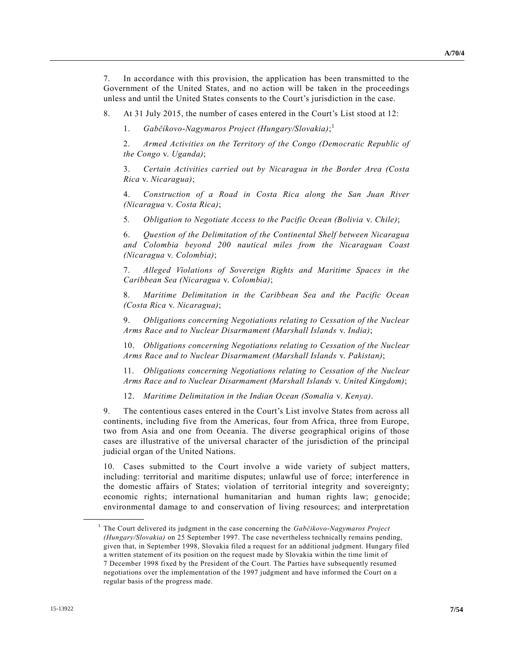7. In accordance with this provision, the application has been transmitted to the Government of the United States, and no action will be taken in the proceedings unless and until the United States consents to the Court's jurisdiction in the case.

8. At 31 July 2015, the number of cases entered in the Court's List stood at 12:

1. *Gabčíkovo-Nagymaros Project (Hungary/Slovakia)*; 1

2. *Armed Activities on the Territory of the Congo (Democratic Republic of the Congo* v. *Uganda)*;

3. *Certain Activities carried out by Nicaragua in the Border Area (Costa Rica* v. *Nicaragua)*;

4. *Construction of a Road in Costa Rica along the San Juan River (Nicaragua* v. *Costa Rica)*;

5*. Obligation to Negotiate Access to the Pacific Ocean (Bolivia* v. *Chile)*;

6. *Question of the Delimitation of the Continental Shelf between Nicaragua and Colombia beyond 200 nautical miles from the Nicaraguan Coast (Nicaragua* v. *Colombia)*;

7. *Alleged Violations of Sovereign Rights and Maritime Spaces in the Caribbean Sea (Nicaragua* v. *Colombia)*;

8. *Maritime Delimitation in the Caribbean Sea and the Pacific Ocean (Costa Rica* v. *Nicaragua)*;

9. *Obligations concerning Negotiations relating to Cessation of the Nuclear Arms Race and to Nuclear Disarmament (Marshall Islands* v. *India)*;

10. *Obligations concerning Negotiations relating to Cessation of the Nuclear Arms Race and to Nuclear Disarmament (Marshall Islands* v. *Pakistan)*;

11. *Obligations concerning Negotiations relating to Cessation of the Nuclear Arms Race and to Nuclear Disarmament (Marshall Islands* v. *United Kingdom)*;

12. *Maritime Delimitation in the Indian Ocean (Somalia* v. *Kenya)*.

9. The contentious cases entered in the Court's List involve States from across all continents, including five from the Americas, four from Africa, three from Europe, two from Asia and one from Oceania. The diverse geographical origins of those cases are illustrative of the universal character of the jurisdiction of the principal judicial organ of the United Nations.

10. Cases submitted to the Court involve a wide variety of subject matters, including: territorial and maritime disputes; unlawful use of force; interference in the domestic affairs of States; violation of territorial integrity and sovereignty; economic rights; international humanitarian and human rights law; genocide; environmental damage to and conservation of living resources; and interpretation

**\_\_\_\_\_\_\_\_\_\_\_\_\_\_\_\_\_\_**

<sup>&</sup>lt;sup>1</sup> The Court delivered its judgment in the case concerning the *Gabčikovo-Nagymaros Project (Hungary/Slovakia)* on 25 September 1997. The case nevertheless technically remains pending, given that, in September 1998, Slovakia filed a request for an additional judgment. Hungary filed a written statement of its position on the request made by Slovakia within the time limit of 7 December 1998 fixed by the President of the Court. The Parties have subsequently resumed negotiations over the implementation of the 1997 judgment and have informed the Court on a regular basis of the progress made.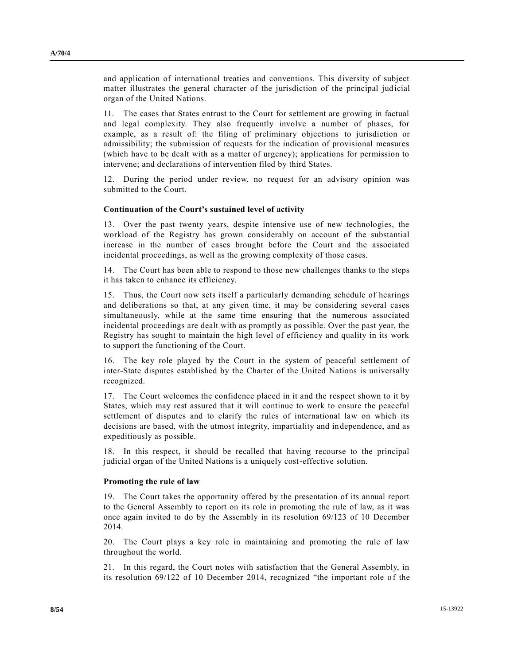**A/70/4**

and application of international treaties and conventions. This diversity of subject matter illustrates the general character of the jurisdiction of the principal jud icial organ of the United Nations.

11. The cases that States entrust to the Court for settlement are growing in factual and legal complexity. They also frequently involve a number of phases, for example, as a result of: the filing of preliminary objections to jurisdiction or admissibility; the submission of requests for the indication of provisional measures (which have to be dealt with as a matter of urgency); applications for permission to intervene; and declarations of intervention filed by third States.

12. During the period under review, no request for an advisory opinion was submitted to the Court.

### **Continuation of the Court's sustained level of activity**

13. Over the past twenty years, despite intensive use of new technologies, the workload of the Registry has grown considerably on account of the substantial increase in the number of cases brought before the Court and the associated incidental proceedings, as well as the growing complexity of those cases.

14. The Court has been able to respond to those new challenges thanks to the steps it has taken to enhance its efficiency.

15. Thus, the Court now sets itself a particularly demanding schedule of hearings and deliberations so that, at any given time, it may be considering several cases simultaneously, while at the same time ensuring that the numerous associated incidental proceedings are dealt with as promptly as possible. Over the past year, the Registry has sought to maintain the high level of efficiency and quality in its work to support the functioning of the Court.

16. The key role played by the Court in the system of peaceful settlement of inter-State disputes established by the Charter of the United Nations is universally recognized.

17. The Court welcomes the confidence placed in it and the respect shown to it by States, which may rest assured that it will continue to work to ensure the peaceful settlement of disputes and to clarify the rules of international law on which its decisions are based, with the utmost integrity, impartiality and independence, and as expeditiously as possible.

18. In this respect, it should be recalled that having recourse to the principal judicial organ of the United Nations is a uniquely cost-effective solution.

#### **Promoting the rule of law**

19. The Court takes the opportunity offered by the presentation of its annual report to the General Assembly to report on its role in promoting the rule of law, as it was once again invited to do by the Assembly in its resolution 69/123 of 10 December 2014.

20. The Court plays a key role in maintaining and promoting the rule of law throughout the world.

21. In this regard, the Court notes with satisfaction that the General Assembly, in its resolution 69/122 of 10 December 2014, recognized "the important role of the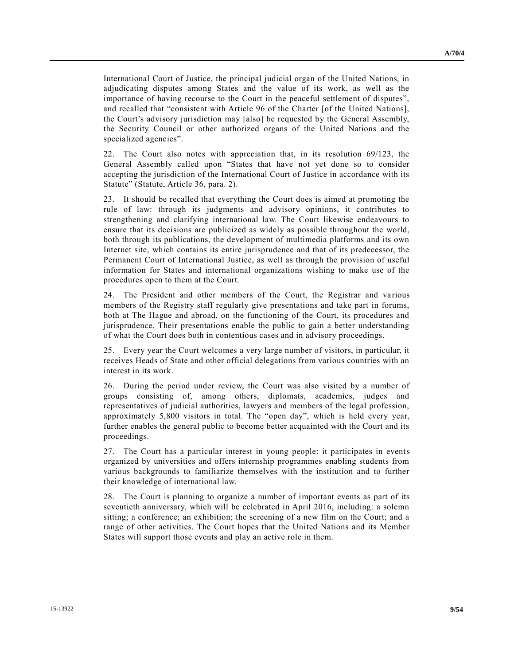International Court of Justice, the principal judicial organ of the United Nations, in adjudicating disputes among States and the value of its work, as well as the importance of having recourse to the Court in the peaceful settlement of disputes", and recalled that "consistent with Article 96 of the Charter [of the United Nations], the Court's advisory jurisdiction may [also] be requested by the General Assembly, the Security Council or other authorized organs of the United Nations and the specialized agencies".

22. The Court also notes with appreciation that, in its resolution 69/123, the General Assembly called upon "States that have not yet done so to consider accepting the jurisdiction of the International Court of Justice in accordance with its Statute" (Statute, Article 36, para. 2).

23. It should be recalled that everything the Court does is aimed at promoting the rule of law: through its judgments and advisory opinions, it contributes to strengthening and clarifying international law. The Court likewise endeavours to ensure that its decisions are publicized as widely as possible throughout the world, both through its publications, the development of multimedia platforms and its own Internet site, which contains its entire jurisprudence and that of its predecessor, the Permanent Court of International Justice, as well as through the provision of useful information for States and international organizations wishing to make use of the procedures open to them at the Court.

24. The President and other members of the Court, the Registrar and various members of the Registry staff regularly give presentations and take part in forums, both at The Hague and abroad, on the functioning of the Court, its procedures and jurisprudence. Their presentations enable the public to gain a better understanding of what the Court does both in contentious cases and in advisory proceedings.

25. Every year the Court welcomes a very large number of visitors, in particular, it receives Heads of State and other official delegations from various countries with an interest in its work.

26. During the period under review, the Court was also visited by a number of groups consisting of, among others, diplomats, academics, judges and representatives of judicial authorities, lawyers and members of the legal profession, approximately 5,800 visitors in total. The "open day", which is held every year, further enables the general public to become better acquainted with the Court and its proceedings.

27. The Court has a particular interest in young people: it participates in events organized by universities and offers internship programmes enabling students from various backgrounds to familiarize themselves with the institution and to further their knowledge of international law.

28. The Court is planning to organize a number of important events as part of its seventieth anniversary, which will be celebrated in April 2016, including: a solemn sitting; a conference; an exhibition; the screening of a new film on the Court; and a range of other activities. The Court hopes that the United Nations and its Member States will support those events and play an active role in them.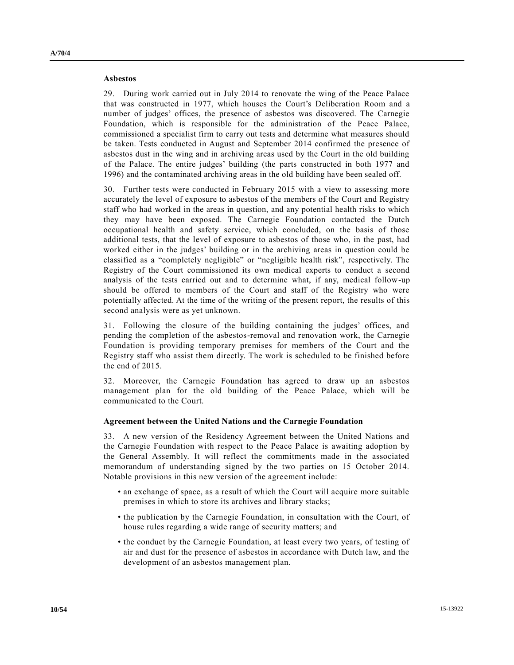#### **Asbestos**

29. During work carried out in July 2014 to renovate the wing of the Peace Palace that was constructed in 1977, which houses the Court's Deliberation Room and a

number of judges' offices, the presence of asbestos was discovered. The Carnegie Foundation, which is responsible for the administration of the Peace Palace, commissioned a specialist firm to carry out tests and determine what measures should be taken. Tests conducted in August and September 2014 confirmed the presence of asbestos dust in the wing and in archiving areas used by the Court in the old building of the Palace. The entire judges' building (the parts constructed in both 1977 and 1996) and the contaminated archiving areas in the old building have been sealed off.

30. Further tests were conducted in February 2015 with a view to assessing more accurately the level of exposure to asbestos of the members of the Court and Registry staff who had worked in the areas in question, and any potential health risks to which they may have been exposed. The Carnegie Foundation contacted the Dutch occupational health and safety service, which concluded, on the basis of those additional tests, that the level of exposure to asbestos of those who, in the past, had worked either in the judges' building or in the archiving areas in question could be classified as a "completely negligible" or "negligible health risk", respectively. The Registry of the Court commissioned its own medical experts to conduct a second analysis of the tests carried out and to determine what, if any, medical follow-up should be offered to members of the Court and staff of the Registry who were potentially affected. At the time of the writing of the present report, the results of this second analysis were as yet unknown.

31. Following the closure of the building containing the judges' offices, and pending the completion of the asbestos-removal and renovation work, the Carnegie Foundation is providing temporary premises for members of the Court and the Registry staff who assist them directly. The work is scheduled to be finished before the end of 2015.

32. Moreover, the Carnegie Foundation has agreed to draw up an asbestos management plan for the old building of the Peace Palace, which will be communicated to the Court.

#### **Agreement between the United Nations and the Carnegie Foundation**

33. A new version of the Residency Agreement between the United Nations and the Carnegie Foundation with respect to the Peace Palace is awaiting adoption by the General Assembly. It will reflect the commitments made in the associated memorandum of understanding signed by the two parties on 15 October 2014. Notable provisions in this new version of the agreement include:

- an exchange of space, as a result of which the Court will acquire more suitable premises in which to store its archives and library stacks;
- the publication by the Carnegie Foundation, in consultation with the Court, of house rules regarding a wide range of security matters; and
- the conduct by the Carnegie Foundation, at least every two years, of testing of air and dust for the presence of asbestos in accordance with Dutch law, and the development of an asbestos management plan.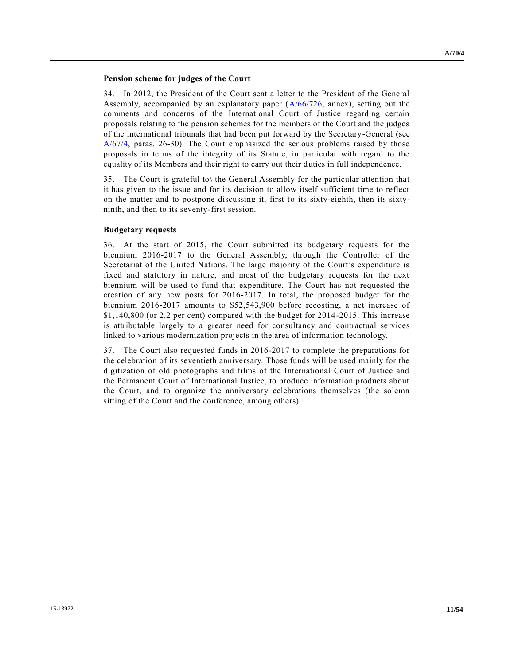#### **Pension scheme for judges of the Court**

34. In 2012, the President of the Court sent a letter to the President of the General Assembly, accompanied by an explanatory paper  $(A/66/726, \text{annex})$  $(A/66/726, \text{annex})$ , setting out the comments and concerns of the International Court of Justice regarding certain proposals relating to the pension schemes for the members of the Court and the judges of the international tribunals that had been put forward by the Secretary-General (see [A/67/4,](http://undocs.org/A/67/4) paras. 26-30). The Court emphasized the serious problems raised by those proposals in terms of the integrity of its Statute, in particular with regard to the equality of its Members and their right to carry out their duties in full independence.

35. The Court is grateful to\ the General Assembly for the particular attention that it has given to the issue and for its decision to allow itself sufficient time to reflect on the matter and to postpone discussing it, first to its sixty-eighth, then its sixtyninth, and then to its seventy-first session.

#### **Budgetary requests**

36. At the start of 2015, the Court submitted its budgetary requests for the biennium 2016-2017 to the General Assembly, through the Controller of the Secretariat of the United Nations. The large majority of the Court's expenditure is fixed and statutory in nature, and most of the budgetary requests for the next biennium will be used to fund that expenditure. The Court has not requested the creation of any new posts for 2016-2017. In total, the proposed budget for the biennium 2016-2017 amounts to \$52,543,900 before recosting, a net increase of \$1,140,800 (or 2.2 per cent) compared with the budget for 2014-2015. This increase is attributable largely to a greater need for consultancy and contractual services linked to various modernization projects in the area of information technology.

37. The Court also requested funds in 2016-2017 to complete the preparations for the celebration of its seventieth anniversary. Those funds will be used mainly for the digitization of old photographs and films of the International Court of Justice and the Permanent Court of International Justice, to produce information products about the Court, and to organize the anniversary celebrations themselves (the solemn sitting of the Court and the conference, among others).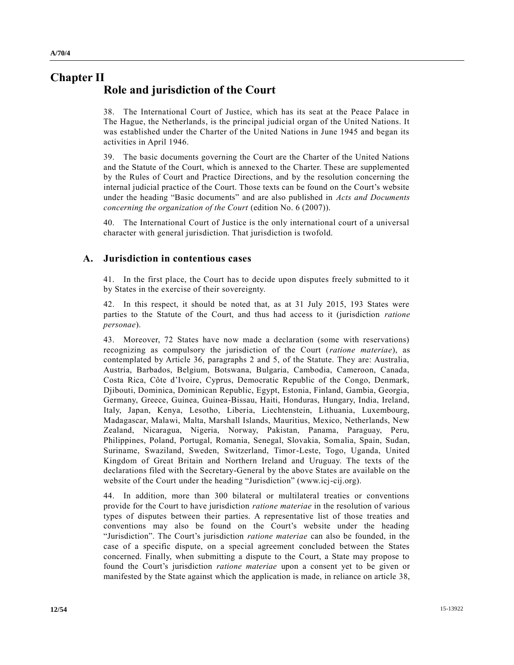## **Chapter II Role and jurisdiction of the Court**

38. The International Court of Justice, which has its seat at the Peace Palace in The Hague, the Netherlands, is the principal judicial organ of the United Nations. It was established under the Charter of the United Nations in June 1945 and began its activities in April 1946.

39. The basic documents governing the Court are the Charter of the United Nations and the Statute of the Court, which is annexed to the Charter. These are supplemented by the Rules of Court and Practice Directions, and by the resolution concerning the internal judicial practice of the Court. Those texts can be found on the Court's website under the heading "Basic documents" and are also published in *Acts and Documents concerning the organization of the Court* (edition No. 6 (2007)).

40. The International Court of Justice is the only international court of a universal character with general jurisdiction. That jurisdiction is twofold.

### **A. Jurisdiction in contentious cases**

41. In the first place, the Court has to decide upon disputes freely submitted to it by States in the exercise of their sovereignty.

42. In this respect, it should be noted that, as at 31 July 2015, 193 States were parties to the Statute of the Court, and thus had access to it (jurisdiction *ratione personae*).

43. Moreover, 72 States have now made a declaration (some with reservations) recognizing as compulsory the jurisdiction of the Court (*ratione materiae*), as contemplated by Article 36, paragraphs 2 and 5, of the Statute. They are: Australia, Austria, Barbados, Belgium, Botswana, Bulgaria, Cambodia, Cameroon, Canada, Costa Rica, Côte d'Ivoire, Cyprus, Democratic Republic of the Congo, Denmark, Djibouti, Dominica, Dominican Republic, Egypt, Estonia, Finland, Gambia, Georgia, Germany, Greece, Guinea, Guinea-Bissau, Haiti, Honduras, Hungary, India, Ireland, Italy, Japan, Kenya, Lesotho, Liberia, Liechtenstein, Lithuania, Luxembourg, Madagascar, Malawi, Malta, Marshall Islands, Mauritius, Mexico, Netherlands, New Zealand, Nicaragua, Nigeria, Norway, Pakistan, Panama, Paraguay, Peru, Philippines, Poland, Portugal, Romania, Senegal, Slovakia, Somalia, Spain, Sudan, Suriname, Swaziland, Sweden, Switzerland, Timor-Leste, Togo, Uganda, United Kingdom of Great Britain and Northern Ireland and Uruguay. The texts of the declarations filed with the Secretary-General by the above States are available on the website of the Court under the heading "Jurisdiction" (www.icj-cij.org).

44. In addition, more than 300 bilateral or multilateral treaties or conventions provide for the Court to have jurisdiction *ratione materiae* in the resolution of various types of disputes between their parties. A representative list of those treaties and conventions may also be found on the Court's website under the heading "Jurisdiction". The Court's jurisdiction *ratione materiae* can also be founded, in the case of a specific dispute, on a special agreement concluded between the States concerned. Finally, when submitting a dispute to the Court, a State may propose to found the Court's jurisdiction *ratione materiae* upon a consent yet to be given or manifested by the State against which the application is made, in reliance on article 38,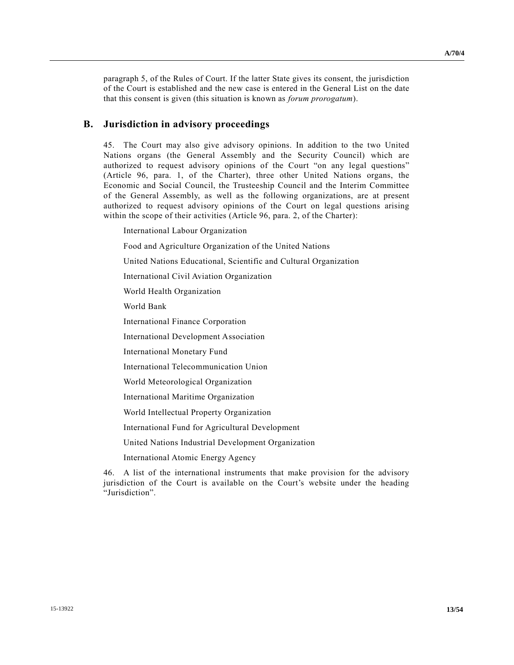paragraph 5, of the Rules of Court. If the latter State gives its consent, the jurisdiction of the Court is established and the new case is entered in the General List on the date that this consent is given (this situation is known as *forum prorogatum*).

### **B. Jurisdiction in advisory proceedings**

45. The Court may also give advisory opinions. In addition to the two United Nations organs (the General Assembly and the Security Council) which are authorized to request advisory opinions of the Court "on any legal questions" (Article 96, para. 1, of the Charter), three other United Nations organs, the Economic and Social Council, the Trusteeship Council and the Interim Committee of the General Assembly, as well as the following organizations, are at present authorized to request advisory opinions of the Court on legal questions arising within the scope of their activities (Article 96, para. 2, of the Charter):

International Labour Organization

Food and Agriculture Organization of the United Nations

United Nations Educational, Scientific and Cultural Organization

International Civil Aviation Organization

World Health Organization

World Bank

International Finance Corporation

International Development Association

International Monetary Fund

International Telecommunication Union

World Meteorological Organization

International Maritime Organization

World Intellectual Property Organization

International Fund for Agricultural Development

United Nations Industrial Development Organization

International Atomic Energy Agency

46. A list of the international instruments that make provision for the advisory jurisdiction of the Court is available on the Court's website under the heading "Jurisdiction".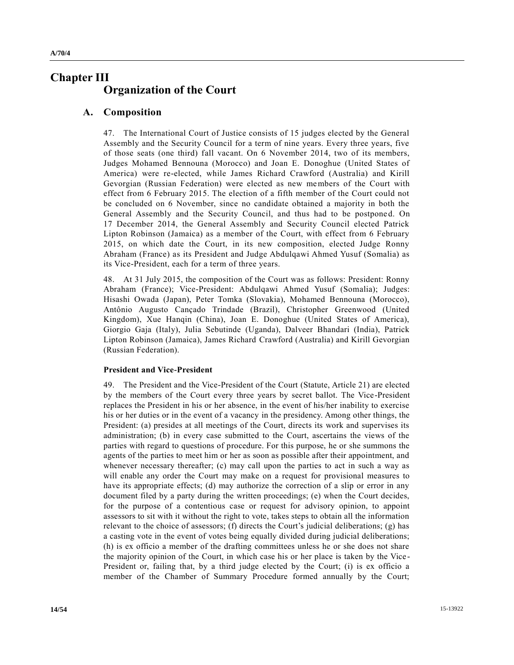## **Chapter III Organization of the Court**

### **A. Composition**

47. The International Court of Justice consists of 15 judges elected by the General Assembly and the Security Council for a term of nine years. Every three years, five of those seats (one third) fall vacant. On 6 November 2014, two of its members, Judges Mohamed Bennouna (Morocco) and Joan E. Donoghue (United States of America) were re-elected, while James Richard Crawford (Australia) and Kirill Gevorgian (Russian Federation) were elected as new members of the Court with effect from 6 February 2015. The election of a fifth member of the Court could not be concluded on 6 November, since no candidate obtained a majority in both the General Assembly and the Security Council, and thus had to be postponed. On 17 December 2014, the General Assembly and Security Council elected Patrick Lipton Robinson (Jamaica) as a member of the Court, with effect from 6 February 2015, on which date the Court, in its new composition, elected Judge Ronny Abraham (France) as its President and Judge Abdulqawi Ahmed Yusuf (Somalia) as its Vice-President, each for a term of three years.

48. At 31 July 2015, the composition of the Court was as follows: President: Ronny Abraham (France); Vice-President: Abdulqawi Ahmed Yusuf (Somalia); Judges: Hisashi Owada (Japan), Peter Tomka (Slovakia), Mohamed Bennouna (Morocco), Antônio Augusto Cançado Trindade (Brazil), Christopher Greenwood (United Kingdom), Xue Hanqin (China), Joan E. Donoghue (United States of America), Giorgio Gaja (Italy), Julia Sebutinde (Uganda), Dalveer Bhandari (India), Patrick Lipton Robinson (Jamaica), James Richard Crawford (Australia) and Kirill Gevorgian (Russian Federation).

#### **President and Vice-President**

49. The President and the Vice-President of the Court (Statute, Article 21) are elected by the members of the Court every three years by secret ballot. The Vice-President replaces the President in his or her absence, in the event of his/her inability to exercise his or her duties or in the event of a vacancy in the presidency. Among other things, the President: (a) presides at all meetings of the Court, directs its work and supervises its administration; (b) in every case submitted to the Court, ascertains the views of the parties with regard to questions of procedure. For this purpose, he or she summons the agents of the parties to meet him or her as soon as possible after their appointment, and whenever necessary thereafter; (c) may call upon the parties to act in such a way as will enable any order the Court may make on a request for provisional measures to have its appropriate effects; (d) may authorize the correction of a slip or error in any document filed by a party during the written proceedings; (e) when the Court decides, for the purpose of a contentious case or request for advisory opinion, to appoint assessors to sit with it without the right to vote, takes steps to obtain all the information relevant to the choice of assessors; (f) directs the Court's judicial deliberations; (g) has a casting vote in the event of votes being equally divided during judicial deliberations; (h) is ex officio a member of the drafting committees unless he or she does not share the majority opinion of the Court, in which case his or her place is taken by the Vice - President or, failing that, by a third judge elected by the Court; (i) is ex officio a member of the Chamber of Summary Procedure formed annually by the Court;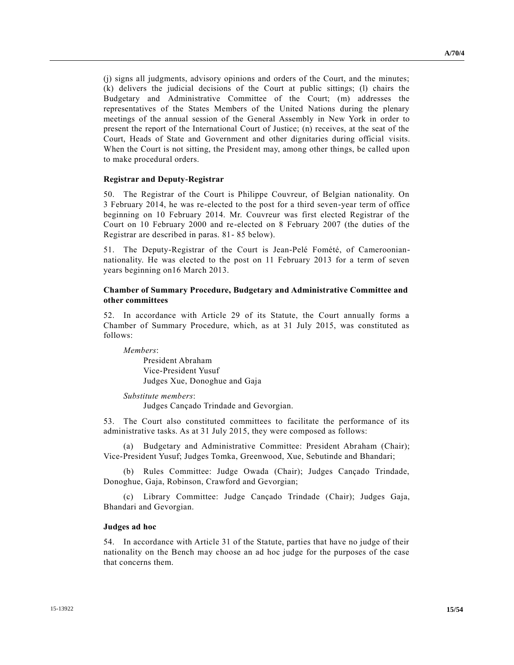(j) signs all judgments, advisory opinions and orders of the Court, and the minutes; (k) delivers the judicial decisions of the Court at public sittings; (l) chairs the Budgetary and Administrative Committee of the Court; (m) addresses the representatives of the States Members of the United Nations during the plenary meetings of the annual session of the General Assembly in New York in order to present the report of the International Court of Justice; (n) receives, at the seat of the Court, Heads of State and Government and other dignitaries during official visits. When the Court is not sitting, the President may, among other things, be called upon to make procedural orders.

#### **Registrar and Deputy-Registrar**

50. The Registrar of the Court is Philippe Couvreur, of Belgian nationality. On 3 February 2014, he was re-elected to the post for a third seven-year term of office beginning on 10 February 2014. Mr. Couvreur was first elected Registrar of the Court on 10 February 2000 and re-elected on 8 February 2007 (the duties of the Registrar are described in paras. 81- 85 below).

51. The Deputy-Registrar of the Court is Jean-Pelé Fomété, of Camerooniannationality. He was elected to the post on 11 February 2013 for a term of seven years beginning on16 March 2013.

### **Chamber of Summary Procedure, Budgetary and Administrative Committee and other committees**

52. In accordance with Article 29 of its Statute, the Court annually forms a Chamber of Summary Procedure, which, as at 31 July 2015, was constituted as follows:

*Members*: President Abraham Vice-President Yusuf Judges Xue, Donoghue and Gaja

*Substitute members*:

Judges Cançado Trindade and Gevorgian.

53. The Court also constituted committees to facilitate the performance of its administrative tasks. As at 31 July 2015, they were composed as follows:

(a) Budgetary and Administrative Committee: President Abraham (Chair); Vice-President Yusuf; Judges Tomka, Greenwood, Xue, Sebutinde and Bhandari;

(b) Rules Committee: Judge Owada (Chair); Judges Cançado Trindade, Donoghue, Gaja, Robinson, Crawford and Gevorgian;

(c) Library Committee: Judge Cançado Trindade (Chair); Judges Gaja, Bhandari and Gevorgian.

#### **Judges ad hoc**

54. In accordance with Article 31 of the Statute, parties that have no judge of their nationality on the Bench may choose an ad hoc judge for the purposes of the case that concerns them.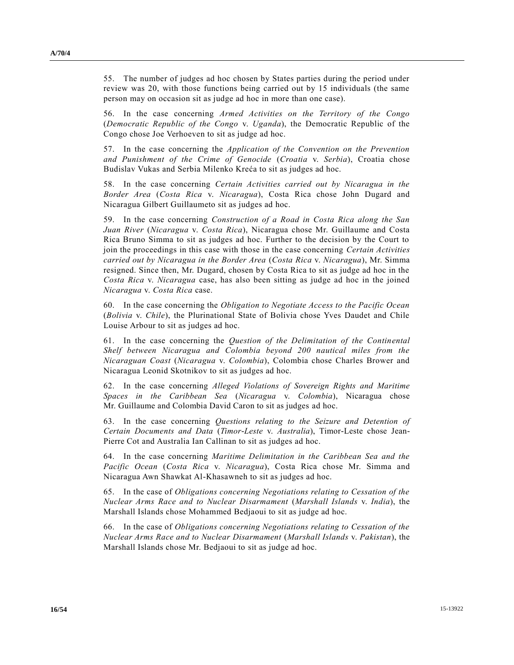55. The number of judges ad hoc chosen by States parties during the period under review was 20, with those functions being carried out by 15 individuals (the same person may on occasion sit as judge ad hoc in more than one case).

56. In the case concerning *Armed Activities on the Territory of the Congo* (*Democratic Republic of the Congo* v. *Uganda*), the Democratic Republic of the Congo chose Joe Verhoeven to sit as judge ad hoc.

57. In the case concerning the *Application of the Convention on the Prevention and Punishment of the Crime of Genocide* (*Croatia* v. *Serbia*), Croatia chose Budislav Vukas and Serbia Milenko Kreća to sit as judges ad hoc.

58. In the case concerning *Certain Activities carried out by Nicaragua in the Border Area* (*Costa Rica* v. *Nicaragua*), Costa Rica chose John Dugard and Nicaragua Gilbert Guillaumeto sit as judges ad hoc.

59. In the case concerning *Construction of a Road in Costa Rica along the San Juan River* (*Nicaragua* v. *Costa Rica*), Nicaragua chose Mr. Guillaume and Costa Rica Bruno Simma to sit as judges ad hoc. Further to the decision by the Court to join the proceedings in this case with those in the case concerning *Certain Activities carried out by Nicaragua in the Border Area* (*Costa Rica* v. *Nicaragua*), Mr. Simma resigned. Since then, Mr. Dugard, chosen by Costa Rica to sit as judge ad hoc in the *Costa Rica* v. *Nicaragua* case, has also been sitting as judge ad hoc in the joined *Nicaragua* v. *Costa Rica* case.

60. In the case concerning the *Obligation to Negotiate Access to the Pacific Ocean* (*Bolivia* v. *Chile*), the Plurinational State of Bolivia chose Yves Daudet and Chile Louise Arbour to sit as judges ad hoc.

61. In the case concerning the *Question of the Delimitation of the Continental Shelf between Nicaragua and Colombia beyond 200 nautical miles from the Nicaraguan Coast* (*Nicaragua* v. *Colombia*), Colombia chose Charles Brower and Nicaragua Leonid Skotnikov to sit as judges ad hoc.

62. In the case concerning *Alleged Violations of Sovereign Rights and Maritime Spaces in the Caribbean Sea* (*Nicaragua* v. *Colombia*), Nicaragua chose Mr. Guillaume and Colombia David Caron to sit as judges ad hoc.

63. In the case concerning *Questions relating to the Seizure and Detention of Certain Documents and Data* (*Timor-Leste* v. *Australia*), Timor-Leste chose Jean-Pierre Cot and Australia Ian Callinan to sit as judges ad hoc.

64. In the case concerning *Maritime Delimitation in the Caribbean Sea and the Pacific Ocean* (*Costa Rica* v. *Nicaragua*), Costa Rica chose Mr. Simma and Nicaragua Awn Shawkat Al-Khasawneh to sit as judges ad hoc.

65. In the case of *Obligations concerning Negotiations relating to Cessation of the Nuclear Arms Race and to Nuclear Disarmament* (*Marshall Islands* v. *India*), the Marshall Islands chose Mohammed Bedjaoui to sit as judge ad hoc.

66. In the case of *Obligations concerning Negotiations relating to Cessation of the Nuclear Arms Race and to Nuclear Disarmament* (*Marshall Islands* v. *Pakistan*), the Marshall Islands chose Mr. Bedjaoui to sit as judge ad hoc.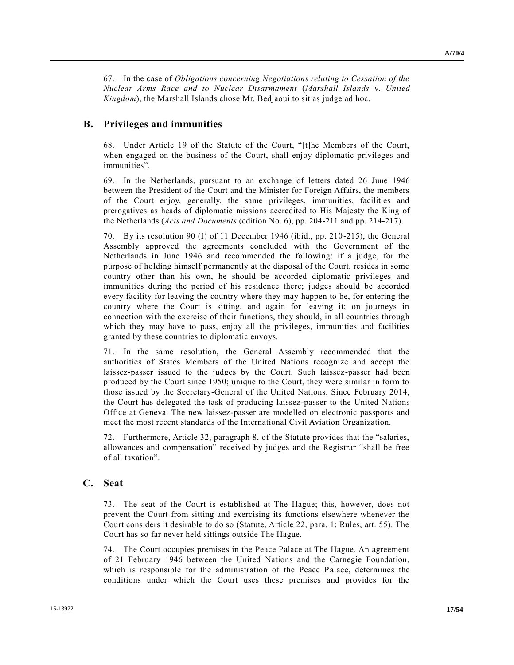67. In the case of *Obligations concerning Negotiations relating to Cessation of the Nuclear Arms Race and to Nuclear Disarmament* (*Marshall Islands* v. *United Kingdom*), the Marshall Islands chose Mr. Bedjaoui to sit as judge ad hoc.

### **B. Privileges and immunities**

68. Under Article 19 of the Statute of the Court, "[t]he Members of the Court, when engaged on the business of the Court, shall enjoy diplomatic privileges and immunities".

69. In the Netherlands, pursuant to an exchange of letters dated 26 June 1946 between the President of the Court and the Minister for Foreign Affairs, the members of the Court enjoy, generally, the same privileges, immunities, facilities and prerogatives as heads of diplomatic missions accredited to His Majesty the King of the Netherlands (*Acts and Documents* (edition No. 6), pp. 204-211 and pp. 214-217).

70. By its resolution 90 (I) of 11 December 1946 (ibid., pp. 210-215), the General Assembly approved the agreements concluded with the Government of the Netherlands in June 1946 and recommended the following: if a judge, for the purpose of holding himself permanently at the disposal of the Court, resides in some country other than his own, he should be accorded diplomatic privileges and immunities during the period of his residence there; judges should be accorded every facility for leaving the country where they may happen to be, for entering the country where the Court is sitting, and again for leaving it; on journeys in connection with the exercise of their functions, they should, in all countries through which they may have to pass, enjoy all the privileges, immunities and facilities granted by these countries to diplomatic envoys.

71. In the same resolution, the General Assembly recommended that the authorities of States Members of the United Nations recognize and accept the laissez-passer issued to the judges by the Court. Such laissez-passer had been produced by the Court since 1950; unique to the Court, they were similar in form to those issued by the Secretary-General of the United Nations. Since February 2014, the Court has delegated the task of producing laissez-passer to the United Nations Office at Geneva. The new laissez-passer are modelled on electronic passports and meet the most recent standards of the International Civil Aviation Organization.

72. Furthermore, Article 32, paragraph 8, of the Statute provides that the "salaries, allowances and compensation" received by judges and the Registrar "shall be free of all taxation".

### **C. Seat**

73. The seat of the Court is established at The Hague; this, however, does not prevent the Court from sitting and exercising its functions elsewhere whenever the Court considers it desirable to do so (Statute, Article 22, para. 1; Rules, art. 55). The Court has so far never held sittings outside The Hague.

74. The Court occupies premises in the Peace Palace at The Hague. An agreement of 21 February 1946 between the United Nations and the Carnegie Foundation, which is responsible for the administration of the Peace Palace, determines the conditions under which the Court uses these premises and provides for the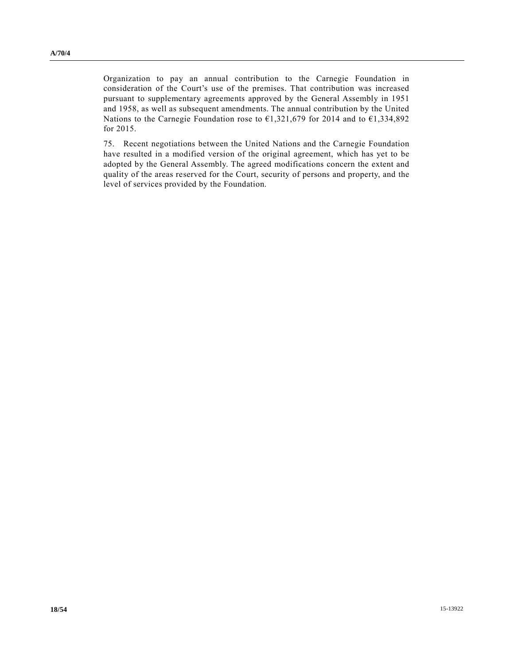Organization to pay an annual contribution to the Carnegie Foundation in consideration of the Court's use of the premises. That contribution was increased pursuant to supplementary agreements approved by the General Assembly in 1951 and 1958, as well as subsequent amendments. The annual contribution by the United Nations to the Carnegie Foundation rose to  $\epsilon$ 1,321,679 for 2014 and to  $\epsilon$ 1,334,892 for 2015.

75. Recent negotiations between the United Nations and the Carnegie Foundation have resulted in a modified version of the original agreement, which has yet to be adopted by the General Assembly. The agreed modifications concern the extent and quality of the areas reserved for the Court, security of persons and property, and the level of services provided by the Foundation.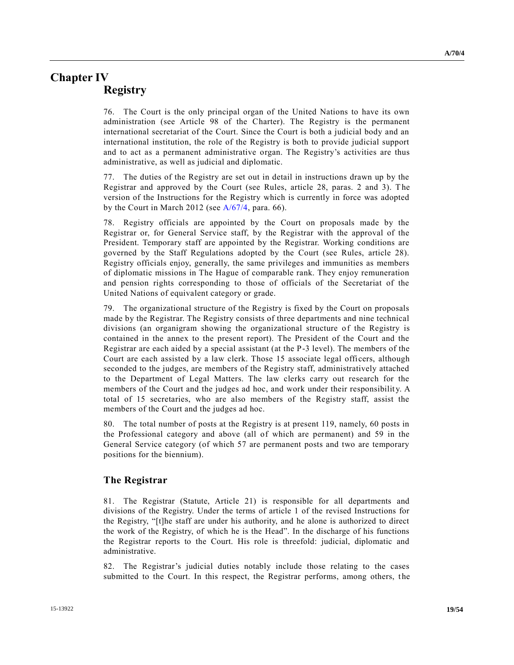## **Chapter IV Registry**

76. The Court is the only principal organ of the United Nations to have its own administration (see Article 98 of the Charter). The Registry is the permanent international secretariat of the Court. Since the Court is both a judicial body and an international institution, the role of the Registry is both to provide judicial support and to act as a permanent administrative organ. The Registry's activities are thus administrative, as well as judicial and diplomatic.

77. The duties of the Registry are set out in detail in instructions drawn up by the Registrar and approved by the Court (see Rules, article 28, paras. 2 and 3). The version of the Instructions for the Registry which is currently in force was adopted by the Court in March 2012 (see [A/67/4,](http://undocs.org/A/67/4) para. 66).

78. Registry officials are appointed by the Court on proposals made by the Registrar or, for General Service staff, by the Registrar with the approval of the President. Temporary staff are appointed by the Registrar. Working conditions are governed by the Staff Regulations adopted by the Court (see Rules, article 28). Registry officials enjoy, generally, the same privileges and immunities as members of diplomatic missions in The Hague of comparable rank. They enjoy remuneration and pension rights corresponding to those of officials of the Secretariat of the United Nations of equivalent category or grade.

79. The organizational structure of the Registry is fixed by the Court on proposals made by the Registrar. The Registry consists of three departments and nine technical divisions (an organigram showing the organizational structure of the Registry is contained in the annex to the present report). The President of the Court and the Registrar are each aided by a special assistant (at the P-3 level). The members of the Court are each assisted by a law clerk. Those 15 associate legal officers, although seconded to the judges, are members of the Registry staff, administratively attached to the Department of Legal Matters. The law clerks carry out research for the members of the Court and the judges ad hoc, and work under their responsibility. A total of 15 secretaries, who are also members of the Registry staff, assist the members of the Court and the judges ad hoc.

80. The total number of posts at the Registry is at present 119, namely, 60 posts in the Professional category and above (all of which are permanent) and 59 in the General Service category (of which 57 are permanent posts and two are temporary positions for the biennium).

### **The Registrar**

81. The Registrar (Statute, Article 21) is responsible for all departments and divisions of the Registry. Under the terms of article 1 of the revised Instructions for the Registry, "[t]he staff are under his authority, and he alone is authorized to direct the work of the Registry, of which he is the Head". In the discharge of his functions the Registrar reports to the Court. His role is threefold: judicial, diplomatic and administrative.

82. The Registrar's judicial duties notably include those relating to the cases submitted to the Court. In this respect, the Registrar performs, among others, the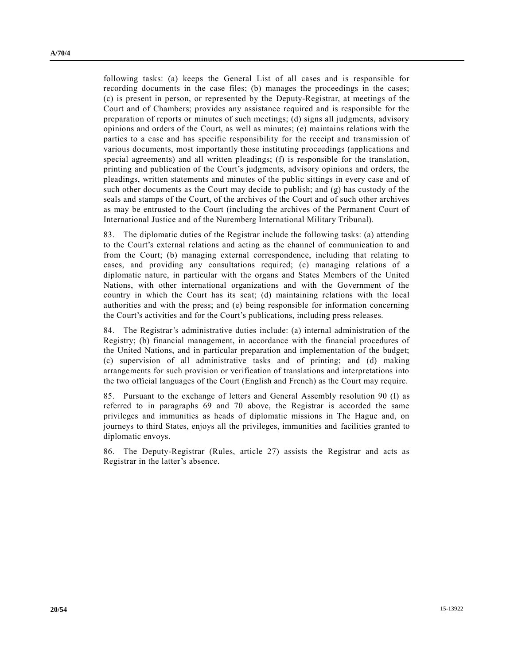following tasks: (a) keeps the General List of all cases and is responsible for recording documents in the case files; (b) manages the proceedings in the cases; (c) is present in person, or represented by the Deputy-Registrar, at meetings of the Court and of Chambers; provides any assistance required and is responsible for the preparation of reports or minutes of such meetings; (d) signs all judgments, advisory opinions and orders of the Court, as well as minutes; (e) maintains relations with the parties to a case and has specific responsibility for the receipt and transmission of various documents, most importantly those instituting proceedings (applications and special agreements) and all written pleadings; (f) is responsible for the translation, printing and publication of the Court's judgments, advisory opinions and orders, the pleadings, written statements and minutes of the public sittings in every case and of such other documents as the Court may decide to publish; and (g) has custody of the seals and stamps of the Court, of the archives of the Court and of such other archives as may be entrusted to the Court (including the archives of the Permanent Court of International Justice and of the Nuremberg International Military Tribunal).

83. The diplomatic duties of the Registrar include the following tasks: (a) attending to the Court's external relations and acting as the channel of communication to and from the Court; (b) managing external correspondence, including that relating to cases, and providing any consultations required; (c) managing relations of a diplomatic nature, in particular with the organs and States Members of the United Nations, with other international organizations and with the Government of the country in which the Court has its seat; (d) maintaining relations with the local authorities and with the press; and (e) being responsible for information concerning the Court's activities and for the Court's publications, including press releases.

84. The Registrar's administrative duties include: (a) internal administration of the Registry; (b) financial management, in accordance with the financial procedures of the United Nations, and in particular preparation and implementation of the budget; (c) supervision of all administrative tasks and of printing; and (d) making arrangements for such provision or verification of translations and interpretations into the two official languages of the Court (English and French) as the Court may require.

85. Pursuant to the exchange of letters and General Assembly resolution 90 (I) as referred to in paragraphs 69 and 70 above, the Registrar is accorded the same privileges and immunities as heads of diplomatic missions in The Hague and, on journeys to third States, enjoys all the privileges, immunities and facilities granted to diplomatic envoys.

86. The Deputy-Registrar (Rules, article 27) assists the Registrar and acts as Registrar in the latter's absence.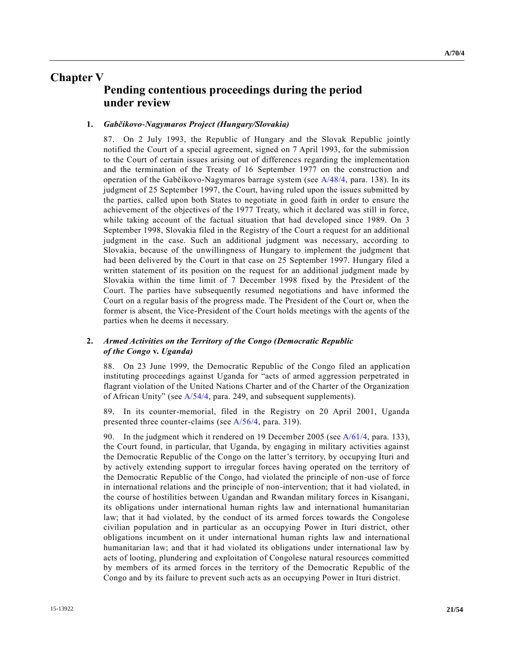**A/70/4**

## **Chapter V**

## **Pending contentious proceedings during the period under review**

#### **1.** *Gabčíkovo-Nagymaros Project (Hungary/Slovakia)*

87. On 2 July 1993, the Republic of Hungary and the Slovak Republic jointly notified the Court of a special agreement, signed on 7 April 1993, for the submission to the Court of certain issues arising out of differences regarding the implementation and the termination of the Treaty of 16 September 1977 on the construction and operation of the Gabčíkovo-Nagymaros barrage system (see [A/48/4,](http://undocs.org/A/48/4) para. 138). In its judgment of 25 September 1997, the Court, having ruled upon the issues submitted by the parties, called upon both States to negotiate in good faith in order to ensure the achievement of the objectives of the 1977 Treaty, which it declared was still in force, while taking account of the factual situation that had developed since 1989. On 3 September 1998, Slovakia filed in the Registry of the Court a request for an additional judgment in the case. Such an additional judgment was necessary, according to Slovakia, because of the unwillingness of Hungary to implement the judgment that had been delivered by the Court in that case on 25 September 1997. Hungary filed a written statement of its position on the request for an additional judgment made by Slovakia within the time limit of 7 December 1998 fixed by the President of the Court. The parties have subsequently resumed negotiations and have informed the Court on a regular basis of the progress made. The President of the Court or, when the former is absent, the Vice-President of the Court holds meetings with the agents of the parties when he deems it necessary.

### **2.** *Armed Activities on the Territory of the Congo (Democratic Republic of the Congo* **v.** *Uganda)*

88. On 23 June 1999, the Democratic Republic of the Congo filed an application instituting proceedings against Uganda for "acts of armed aggression perpetrated in flagrant violation of the United Nations Charter and of the Charter of the Organization of African Unity" (see [A/54/4,](http://undocs.org/A/54/4) para. 249, and subsequent supplements).

89. In its counter-memorial, filed in the Registry on 20 April 2001, Uganda presented three counter-claims (see [A/56/4,](http://undocs.org/A/56/4) para. 319).

90. In the judgment which it rendered on 19 December 2005 (se[e A/61/4,](http://undocs.org/A/61/4) para. 133), the Court found, in particular, that Uganda, by engaging in military activities against the Democratic Republic of the Congo on the latter's territory, by occupying Ituri and by actively extending support to irregular forces having operated on the territory of the Democratic Republic of the Congo, had violated the principle of non-use of force in international relations and the principle of non-intervention; that it had violated, in the course of hostilities between Ugandan and Rwandan military forces in Kisangani, its obligations under international human rights law and international humanitarian law; that it had violated, by the conduct of its armed forces towards the Congolese civilian population and in particular as an occupying Power in Ituri district, other obligations incumbent on it under international human rights law and international humanitarian law; and that it had violated its obligations under international law by acts of looting, plundering and exploitation of Congolese natural resources committed by members of its armed forces in the territory of the Democratic Republic of the Congo and by its failure to prevent such acts as an occupying Power in Ituri district.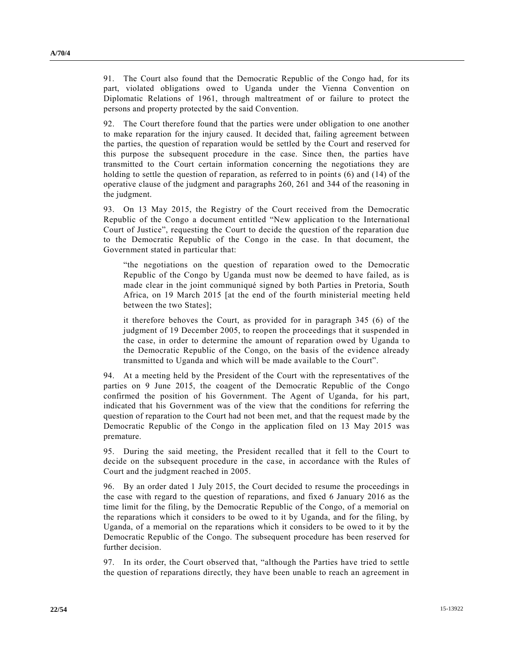91. The Court also found that the Democratic Republic of the Congo had, for its part, violated obligations owed to Uganda under the Vienna Convention on Diplomatic Relations of 1961, through maltreatment of or failure to protect the persons and property protected by the said Convention.

92. The Court therefore found that the parties were under obligation to one another to make reparation for the injury caused. It decided that, failing agreement between the parties, the question of reparation would be settled by the Court and reserved for this purpose the subsequent procedure in the case. Since then, the parties have transmitted to the Court certain information concerning the negotiations they are holding to settle the question of reparation, as referred to in points (6) and (14) of the operative clause of the judgment and paragraphs 260, 261 and 344 of the reasoning in the judgment.

93. On 13 May 2015, the Registry of the Court received from the Democratic Republic of the Congo a document entitled "New application to the International Court of Justice", requesting the Court to decide the question of the reparation due to the Democratic Republic of the Congo in the case. In that document, the Government stated in particular that:

"the negotiations on the question of reparation owed to the Democratic Republic of the Congo by Uganda must now be deemed to have failed, as is made clear in the joint communiqué signed by both Parties in Pretoria, South Africa, on 19 March 2015 [at the end of the fourth ministerial meeting held between the two States];

it therefore behoves the Court, as provided for in paragraph 345 (6) of the judgment of 19 December 2005, to reopen the proceedings that it suspended in the case, in order to determine the amount of reparation owed by Uganda to the Democratic Republic of the Congo, on the basis of the evidence already transmitted to Uganda and which will be made available to the Court".

94. At a meeting held by the President of the Court with the representatives of the parties on 9 June 2015, the coagent of the Democratic Republic of the Congo confirmed the position of his Government. The Agent of Uganda, for his part, indicated that his Government was of the view that the conditions for referring the question of reparation to the Court had not been met, and that the request made by the Democratic Republic of the Congo in the application filed on 13 May 2015 was premature.

95. During the said meeting, the President recalled that it fell to the Court to decide on the subsequent procedure in the case, in accordance with the Rules of Court and the judgment reached in 2005.

96. By an order dated 1 July 2015, the Court decided to resume the proceedings in the case with regard to the question of reparations, and fixed 6 January 2016 as the time limit for the filing, by the Democratic Republic of the Congo, of a memorial on the reparations which it considers to be owed to it by Uganda, and for the filing, by Uganda, of a memorial on the reparations which it considers to be owed to it by the Democratic Republic of the Congo. The subsequent procedure has been reserved for further decision.

97. In its order, the Court observed that, "although the Parties have tried to settle the question of reparations directly, they have been unable to reach an agreement in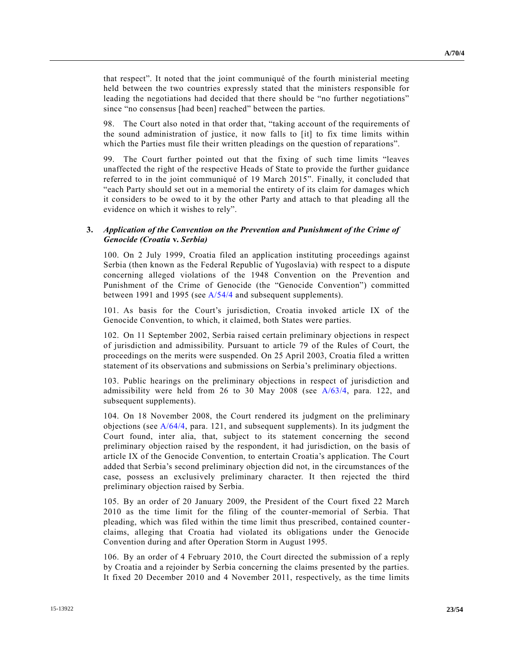that respect". It noted that the joint communiqué of the fourth ministerial meeting held between the two countries expressly stated that the ministers responsible for leading the negotiations had decided that there should be "no further negotiations" since "no consensus [had been] reached" between the parties.

98. The Court also noted in that order that, "taking account of the requirements of the sound administration of justice, it now falls to [it] to fix time limits within which the Parties must file their written pleadings on the question of reparations".

99. The Court further pointed out that the fixing of such time limits "leaves unaffected the right of the respective Heads of State to provide the further guidance referred to in the joint communiqué of 19 March 2015". Finally, it concluded that "each Party should set out in a memorial the entirety of its claim for damages which it considers to be owed to it by the other Party and attach to that pleading all the evidence on which it wishes to rely".

### **3.** *Application of the Convention on the Prevention and Punishment of the Crime of Genocide (Croatia* **v.** *Serbia)*

100. On 2 July 1999, Croatia filed an application instituting proceedings against Serbia (then known as the Federal Republic of Yugoslavia) with re spect to a dispute concerning alleged violations of the 1948 Convention on the Prevention and Punishment of the Crime of Genocide (the "Genocide Convention") committed between 1991 and 1995 (see [A/54/4](http://undocs.org/A/54/4) and subsequent supplements).

101. As basis for the Court's jurisdiction, Croatia invoked article IX of the Genocide Convention, to which, it claimed, both States were parties.

102. On 11 September 2002, Serbia raised certain preliminary objections in respect of jurisdiction and admissibility. Pursuant to article 79 of the Rules of Court, the proceedings on the merits were suspended. On 25 April 2003, Croatia filed a written statement of its observations and submissions on Serbia's preliminary objections.

103. Public hearings on the preliminary objections in respect of jurisdiction and admissibility were held from 26 to 30 May 2008 (see [A/63/4,](http://undocs.org/A/63/4) para. 122, and subsequent supplements).

104. On 18 November 2008, the Court rendered its judgment on the preliminary objections (see [A/64/4,](http://undocs.org/A/64/4) para. 121, and subsequent supplements). In its judgment the Court found, inter alia, that, subject to its statement concerning the second preliminary objection raised by the respondent, it had jurisdiction, on the basis of article IX of the Genocide Convention, to entertain Croatia's application. The Court added that Serbia's second preliminary objection did not, in the circumstances of the case, possess an exclusively preliminary character. It then rejected the third preliminary objection raised by Serbia.

105. By an order of 20 January 2009, the President of the Court fixed 22 March 2010 as the time limit for the filing of the counter-memorial of Serbia. That pleading, which was filed within the time limit thus prescribed, contained counterclaims, alleging that Croatia had violated its obligations under the Genocide Convention during and after Operation Storm in August 1995.

106. By an order of 4 February 2010, the Court directed the submission of a reply by Croatia and a rejoinder by Serbia concerning the claims presented by the parties. It fixed 20 December 2010 and 4 November 2011, respectively, as the time limits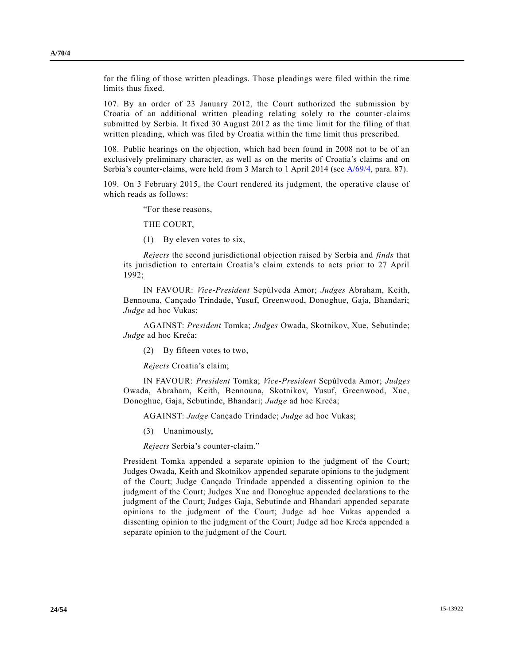for the filing of those written pleadings. Those pleadings were filed within the time limits thus fixed.

107. By an order of 23 January 2012, the Court authorized the submission by Croatia of an additional written pleading relating solely to the counter-claims submitted by Serbia. It fixed 30 August 2012 as the time limit for the filing of that written pleading, which was filed by Croatia within the time limit thus prescribed.

108. Public hearings on the objection, which had been found in 2008 not to be of an exclusively preliminary character, as well as on the merits of Croatia's claims and on Serbia's counter-claims, were held from 3 March to 1 April 2014 (see [A/69/4,](http://undocs.org/A/69/4) para. 87).

109. On 3 February 2015, the Court rendered its judgment, the operative clause of which reads as follows:

"For these reasons,

THE COURT,

(1) By eleven votes to six,

*Rejects* the second jurisdictional objection raised by Serbia and *finds* that its jurisdiction to entertain Croatia's claim extends to acts prior to 27 April 1992;

IN FAVOUR: *Vice-President* Sepúlveda Amor; *Judges* Abraham, Keith, Bennouna, Cançado Trindade, Yusuf, Greenwood, Donoghue, Gaja, Bhandari; *Judge* ad hoc Vukas;

AGAINST: *President* Tomka; *Judges* Owada, Skotnikov, Xue, Sebutinde; *Judge* ad hoc Kreća;

(2) By fifteen votes to two,

*Rejects* Croatia's claim;

IN FAVOUR: *President* Tomka; *Vice-President* Sepúlveda Amor; *Judges* Owada, Abraham, Keith, Bennouna, Skotnikov, Yusuf, Greenwood, Xue, Donoghue, Gaja, Sebutinde, Bhandari; *Judge* ad hoc Kreća;

AGAINST: *Judge* Cançado Trindade; *Judge* ad hoc Vukas;

(3) Unanimously,

*Rejects* Serbia's counter-claim."

President Tomka appended a separate opinion to the judgment of the Court; Judges Owada, Keith and Skotnikov appended separate opinions to the judgment of the Court; Judge Cançado Trindade appended a dissenting opinion to the judgment of the Court; Judges Xue and Donoghue appended declarations to the judgment of the Court; Judges Gaja, Sebutinde and Bhandari appended separate opinions to the judgment of the Court; Judge ad hoc Vukas appended a dissenting opinion to the judgment of the Court; Judge ad hoc Kreća appended a separate opinion to the judgment of the Court.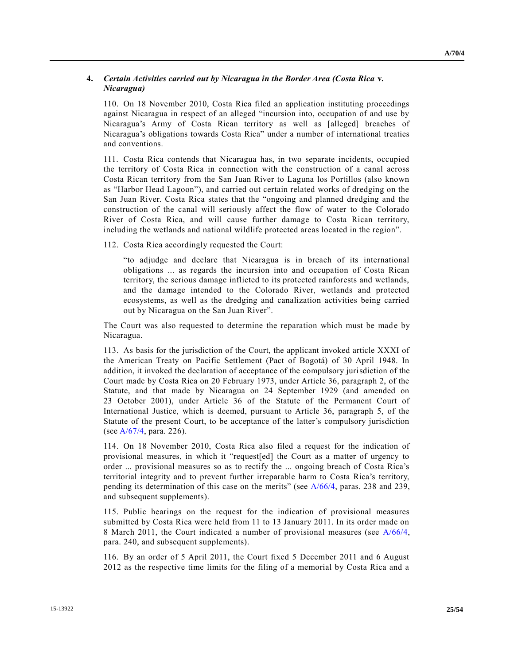### **4.** *Certain Activities carried out by Nicaragua in the Border Area (Costa Rica* **v.**  *Nicaragua)*

110. On 18 November 2010, Costa Rica filed an application instituting proceedings against Nicaragua in respect of an alleged "incursion into, occupation of and use by Nicaragua's Army of Costa Rican territory as well as [alleged] breaches of Nicaragua's obligations towards Costa Rica" under a number of international treaties and conventions.

111. Costa Rica contends that Nicaragua has, in two separate incidents, occupied the territory of Costa Rica in connection with the construction of a canal across Costa Rican territory from the San Juan River to Laguna los Portillos (also known as "Harbor Head Lagoon"), and carried out certain related works of dredging on the San Juan River. Costa Rica states that the "ongoing and planned dredging and the construction of the canal will seriously affect the flow of water to the Colorado River of Costa Rica, and will cause further damage to Costa Rican territory, including the wetlands and national wildlife protected areas located in the region".

112. Costa Rica accordingly requested the Court:

"to adjudge and declare that Nicaragua is in breach of its international obligations ... as regards the incursion into and occupation of Costa Rican territory, the serious damage inflicted to its protected rainforests and wetlands, and the damage intended to the Colorado River, wetlands and protected ecosystems, as well as the dredging and canalization activities being carried out by Nicaragua on the San Juan River".

The Court was also requested to determine the reparation which must be made by Nicaragua.

113. As basis for the jurisdiction of the Court, the applicant invoked article XXXI of the American Treaty on Pacific Settlement (Pact of Bogotá) of 30 April 1948. In addition, it invoked the declaration of acceptance of the compulsory jurisdiction of the Court made by Costa Rica on 20 February 1973, under Article 36, paragraph 2, of the Statute, and that made by Nicaragua on 24 September 1929 (and amended on 23 October 2001), under Article 36 of the Statute of the Permanent Court of International Justice, which is deemed, pursuant to Article 36, paragraph 5, of the Statute of the present Court, to be acceptance of the latter's compulsory jurisdiction (se[e A/67/4,](http://undocs.org/A/67/4) para. 226).

114. On 18 November 2010, Costa Rica also filed a request for the indication of provisional measures, in which it "request[ed] the Court as a matter of urgency to order ... provisional measures so as to rectify the ... ongoing breach of Costa Rica's territorial integrity and to prevent further irreparable harm to Costa Rica's territory, pending its determination of this case on the merits" (see [A/66/4,](http://undocs.org/A/66/4) paras. 238 and 239, and subsequent supplements).

115. Public hearings on the request for the indication of provisional measures submitted by Costa Rica were held from 11 to 13 January 2011. In its order made on 8 March 2011, the Court indicated a number of provisional measures (see [A/66/4,](http://undocs.org/A/66/4) para. 240, and subsequent supplements).

116. By an order of 5 April 2011, the Court fixed 5 December 2011 and 6 August 2012 as the respective time limits for the filing of a memorial by Costa Rica and a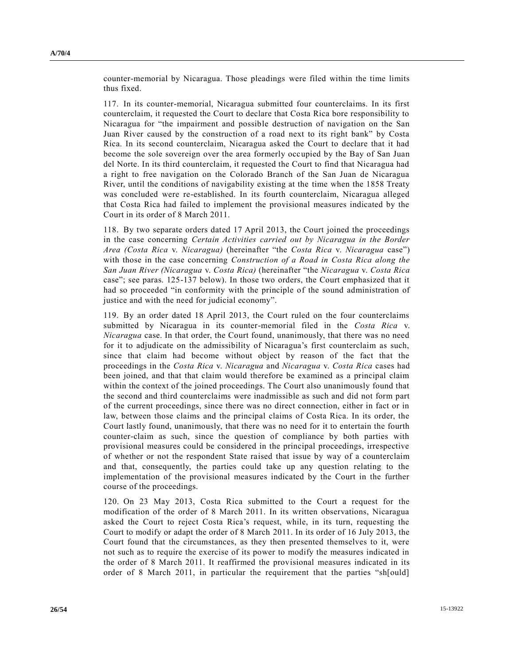counter-memorial by Nicaragua. Those pleadings were filed within the time limits thus fixed.

117. In its counter-memorial, Nicaragua submitted four counterclaims. In its first counterclaim, it requested the Court to declare that Costa Rica bore responsibility to Nicaragua for "the impairment and possible destruction of navigation on the San Juan River caused by the construction of a road next to its right bank" by Costa Rica. In its second counterclaim, Nicaragua asked the Court to declare that it had become the sole sovereign over the area formerly occupied by the Bay of San Juan del Norte. In its third counterclaim, it requested the Court to find that Nicaragua had a right to free navigation on the Colorado Branch of the San Juan de Nicaragua River, until the conditions of navigability existing at the time when the 1858 Treaty was concluded were re-established. In its fourth counterclaim, Nicaragua alleged that Costa Rica had failed to implement the provisional measures indicated by the Court in its order of 8 March 2011.

118. By two separate orders dated 17 April 2013, the Court joined the proceedings in the case concerning *Certain Activities carried out by Nicaragua in the Border Area (Costa Rica* v. *Nicaragua)* (hereinafter "the *Costa Rica* v. *Nicaragua* case") with those in the case concerning *Construction of a Road in Costa Rica along the San Juan River (Nicaragua* v. *Costa Rica)* (hereinafter "the *Nicaragua* v. *Costa Rica* case"; see paras. 125-137 below). In those two orders, the Court emphasized that it had so proceeded "in conformity with the principle of the sound administration of justice and with the need for judicial economy".

119. By an order dated 18 April 2013, the Court ruled on the four counterclaims submitted by Nicaragua in its counter-memorial filed in the *Costa Rica* v. *Nicaragua* case. In that order, the Court found, unanimously, that there was no need for it to adjudicate on the admissibility of Nicaragua's first counterclaim as such, since that claim had become without object by reason of the fact that the proceedings in the *Costa Rica* v. *Nicaragua* and *Nicaragua* v. *Costa Rica* cases had been joined, and that that claim would therefore be examined as a principal claim within the context of the joined proceedings. The Court also unanimously found that the second and third counterclaims were inadmissible as such and did not form part of the current proceedings, since there was no direct connection, either in fact or in law, between those claims and the principal claims of Costa Rica. In its order, the Court lastly found, unanimously, that there was no need for it to entertain the fourth counter-claim as such, since the question of compliance by both parties with provisional measures could be considered in the principal proceedings, irrespective of whether or not the respondent State raised that issue by way of a counterclaim and that, consequently, the parties could take up any question relating to the implementation of the provisional measures indicated by the Court in the further course of the proceedings.

120. On 23 May 2013, Costa Rica submitted to the Court a request for the modification of the order of 8 March 2011. In its written observations, Nicaragua asked the Court to reject Costa Rica's request, while, in its turn, requesting the Court to modify or adapt the order of 8 March 2011. In its order of 16 July 2013, the Court found that the circumstances, as they then presented themselves to it, were not such as to require the exercise of its power to modify the measures indicated in the order of 8 March 2011. It reaffirmed the provisional measures indicated in its order of 8 March 2011, in particular the requirement that the parties "sh[ould]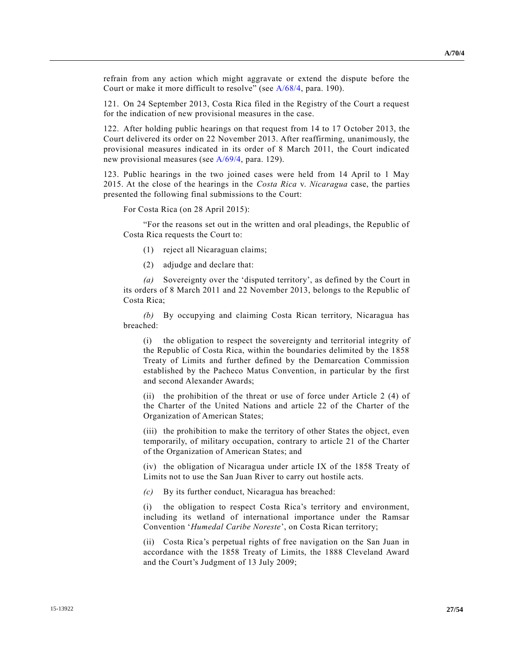refrain from any action which might aggravate or extend the dispute before the Court or make it more difficult to resolve" (see [A/68/4,](http://undocs.org/A/68/4) para. 190).

121. On 24 September 2013, Costa Rica filed in the Registry of the Court a request for the indication of new provisional measures in the case.

122. After holding public hearings on that request from 14 to 17 October 2013, the Court delivered its order on 22 November 2013. After reaffirming, unanimously, the provisional measures indicated in its order of 8 March 2011, the Court indicated new provisional measures (see [A/69/4,](http://undocs.org/A/69/4) para. 129).

123. Public hearings in the two joined cases were held from 14 April to 1 May 2015. At the close of the hearings in the *Costa Rica* v. *Nicaragua* case, the parties presented the following final submissions to the Court:

For Costa Rica (on 28 April 2015):

"For the reasons set out in the written and oral pleadings, the Republic of Costa Rica requests the Court to:

- (1) reject all Nicaraguan claims;
- (2) adjudge and declare that:

*(a)* Sovereignty over the 'disputed territory', as defined by the Court in its orders of 8 March 2011 and 22 November 2013, belongs to the Republic of Costa Rica;

*(b)* By occupying and claiming Costa Rican territory, Nicaragua has breached:

(i) the obligation to respect the sovereignty and territorial integrity of the Republic of Costa Rica, within the boundaries delimited by the 1858 Treaty of Limits and further defined by the Demarcation Commission established by the Pacheco Matus Convention, in particular by the first and second Alexander Awards;

(ii) the prohibition of the threat or use of force under Article 2 (4) of the Charter of the United Nations and article 22 of the Charter of the Organization of American States;

(iii) the prohibition to make the territory of other States the object, even temporarily, of military occupation, contrary to article 21 of the Charter of the Organization of American States; and

(iv) the obligation of Nicaragua under article IX of the 1858 Treaty of Limits not to use the San Juan River to carry out hostile acts.

*(c)* By its further conduct, Nicaragua has breached:

(i) the obligation to respect Costa Rica's territory and environment, including its wetland of international importance under the Ramsar Convention '*Humedal Caribe Noreste*', on Costa Rican territory;

(ii) Costa Rica's perpetual rights of free navigation on the San Juan in accordance with the 1858 Treaty of Limits, the 1888 Cleveland Award and the Court's Judgment of 13 July 2009;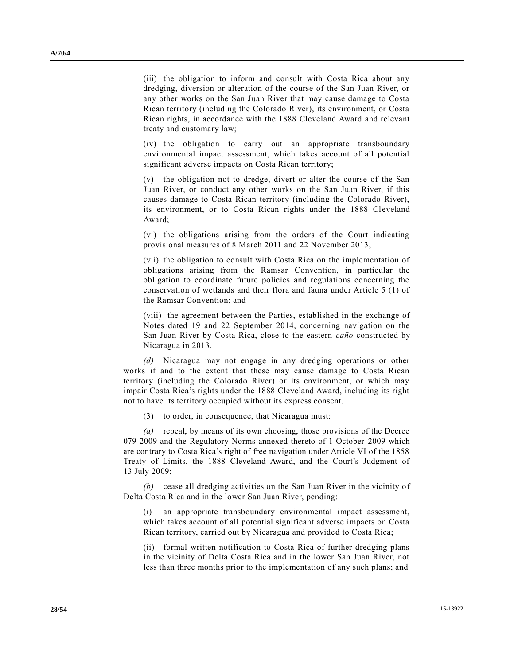(iii) the obligation to inform and consult with Costa Rica about any dredging, diversion or alteration of the course of the San Juan River, or any other works on the San Juan River that may cause damage to Costa Rican territory (including the Colorado River), its environment, or Costa Rican rights, in accordance with the 1888 Cleveland Award and relevant treaty and customary law;

(iv) the obligation to carry out an appropriate transboundary environmental impact assessment, which takes account of all potential significant adverse impacts on Costa Rican territory;

(v) the obligation not to dredge, divert or alter the course of the San Juan River, or conduct any other works on the San Juan River, if this causes damage to Costa Rican territory (including the Colorado River), its environment, or to Costa Rican rights under the 1888 Cleveland Award;

(vi) the obligations arising from the orders of the Court indicating provisional measures of 8 March 2011 and 22 November 2013;

(vii) the obligation to consult with Costa Rica on the implementation of obligations arising from the Ramsar Convention, in particular the obligation to coordinate future policies and regulations concerning the conservation of wetlands and their flora and fauna under Article 5 (1) of the Ramsar Convention; and

(viii) the agreement between the Parties, established in the exchange of Notes dated 19 and 22 September 2014, concerning navigation on the San Juan River by Costa Rica, close to the eastern *caño* constructed by Nicaragua in 2013.

*(d)* Nicaragua may not engage in any dredging operations or other works if and to the extent that these may cause damage to Costa Rican territory (including the Colorado River) or its environment, or which may impair Costa Rica's rights under the 1888 Cleveland Award, including its right not to have its territory occupied without its express consent.

(3) to order, in consequence, that Nicaragua must:

*(a)* repeal, by means of its own choosing, those provisions of the Decree 079 2009 and the Regulatory Norms annexed thereto of 1 October 2009 which are contrary to Costa Rica's right of free navigation under Article VI of the 1858 Treaty of Limits, the 1888 Cleveland Award, and the Court's Judgment of 13 July 2009;

*(b)* cease all dredging activities on the San Juan River in the vicinity o f Delta Costa Rica and in the lower San Juan River, pending:

(i) an appropriate transboundary environmental impact assessment, which takes account of all potential significant adverse impacts on Costa Rican territory, carried out by Nicaragua and provided to Costa Rica;

(ii) formal written notification to Costa Rica of further dredging plans in the vicinity of Delta Costa Rica and in the lower San Juan River, not less than three months prior to the implementation of any such plans; and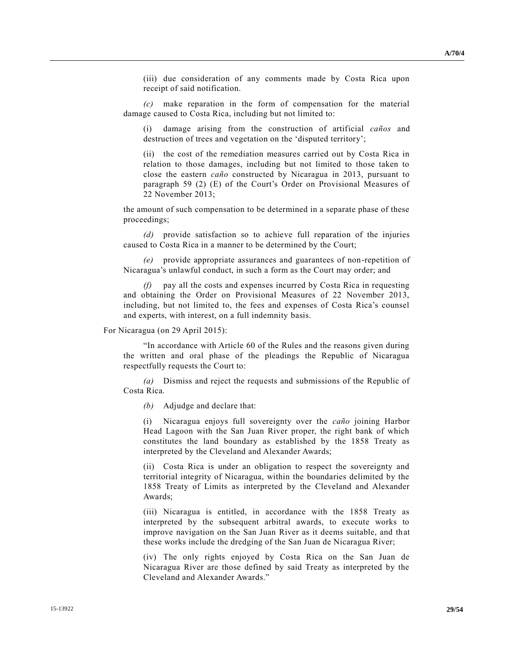(iii) due consideration of any comments made by Costa Rica upon receipt of said notification.

*(c)* make reparation in the form of compensation for the material damage caused to Costa Rica, including but not limited to:

(i) damage arising from the construction of artificial *caños* and destruction of trees and vegetation on the 'disputed territory';

(ii) the cost of the remediation measures carried out by Costa Rica in relation to those damages, including but not limited to those taken to close the eastern *caño* constructed by Nicaragua in 2013, pursuant to paragraph 59 (2) (E) of the Court's Order on Provisional Measures of 22 November 2013;

the amount of such compensation to be determined in a separate phase of these proceedings;

*(d)* provide satisfaction so to achieve full reparation of the injuries caused to Costa Rica in a manner to be determined by the Court;

*(e)* provide appropriate assurances and guarantees of non-repetition of Nicaragua's unlawful conduct, in such a form as the Court may order; and

*(f)* pay all the costs and expenses incurred by Costa Rica in requesting and obtaining the Order on Provisional Measures of 22 November 2013, including, but not limited to, the fees and expenses of Costa Rica's counsel and experts, with interest, on a full indemnity basis.

#### For Nicaragua (on 29 April 2015):

"In accordance with Article 60 of the Rules and the reasons given during the written and oral phase of the pleadings the Republic of Nicaragua respectfully requests the Court to:

*(a)* Dismiss and reject the requests and submissions of the Republic of Costa Rica.

*(b)* Adjudge and declare that:

(i) Nicaragua enjoys full sovereignty over the *caño* joining Harbor Head Lagoon with the San Juan River proper, the right bank of which constitutes the land boundary as established by the 1858 Treaty as interpreted by the Cleveland and Alexander Awards;

(ii) Costa Rica is under an obligation to respect the sovereignty and territorial integrity of Nicaragua, within the boundaries delimited by the 1858 Treaty of Limits as interpreted by the Cleveland and Alexander Awards;

(iii) Nicaragua is entitled, in accordance with the 1858 Treaty as interpreted by the subsequent arbitral awards, to execute works to improve navigation on the San Juan River as it deems suitable, and that these works include the dredging of the San Juan de Nicaragua River;

(iv) The only rights enjoyed by Costa Rica on the San Juan de Nicaragua River are those defined by said Treaty as interpreted by the Cleveland and Alexander Awards."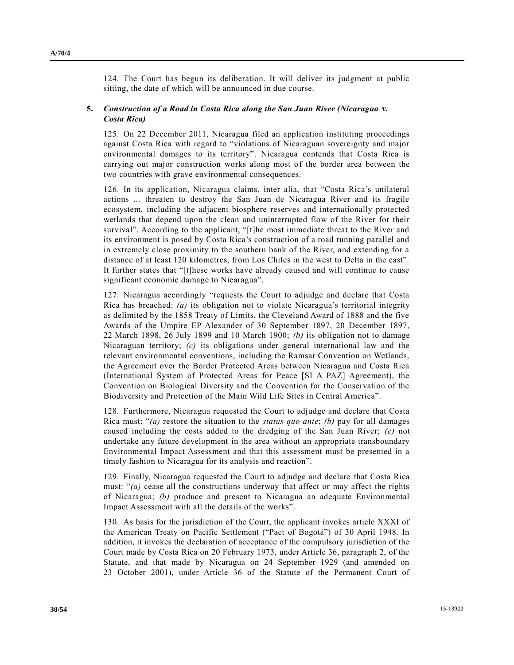124. The Court has begun its deliberation. It will deliver its judgment at public sitting, the date of which will be announced in due course.

### **5.** *Construction of a Road in Costa Rica along the San Juan River (Nicaragua* **v.** *Costa Rica)*

125. On 22 December 2011, Nicaragua filed an application instituting proceedings against Costa Rica with regard to "violations of Nicaraguan sovereignty and major environmental damages to its territory". Nicaragua contends that Costa Rica is carrying out major construction works along most of the border area between the two countries with grave environmental consequences.

126. In its application, Nicaragua claims, inter alia, that "Costa Rica's unilateral actions ... threaten to destroy the San Juan de Nicaragua River and its fragile ecosystem, including the adjacent biosphere reserves and internationally protected wetlands that depend upon the clean and uninterrupted flow of the River for their survival". According to the applicant, "[t]he most immediate threat to the River and its environment is posed by Costa Rica's construction of a road running parallel and in extremely close proximity to the southern bank of the River, and extending for a distance of at least 120 kilometres, from Los Chiles in the west to Delta in the east". It further states that "[t]hese works have already caused and will continue to cause significant economic damage to Nicaragua".

127. Nicaragua accordingly "requests the Court to adjudge and declare that Costa Rica has breached: *(a)* its obligation not to violate Nicaragua's territorial integrity as delimited by the 1858 Treaty of Limits, the Cleveland Award of 1888 and the five Awards of the Umpire EP Alexander of 30 September 1897, 20 December 1897, 22 March 1898, 26 July 1899 and 10 March 1900; *(b)* its obligation not to damage Nicaraguan territory; *(c)* its obligations under general international law and the relevant environmental conventions, including the Ramsar Convention on Wetlands, the Agreement over the Border Protected Areas between Nicaragua and Costa Rica (International System of Protected Areas for Peace [SI A PAZ] Agreement), the Convention on Biological Diversity and the Convention for the Conservation of the Biodiversity and Protection of the Main Wild Life Sites in Central America".

128. Furthermore, Nicaragua requested the Court to adjudge and declare that Costa Rica must: "*(a)* restore the situation to the *status quo ante*; *(b)* pay for all damages caused including the costs added to the dredging of the San Juan River; *(c)* not undertake any future development in the area without an appropriate transboundary Environmental Impact Assessment and that this assessment must be presented in a timely fashion to Nicaragua for its analysis and reaction".

129. Finally, Nicaragua requested the Court to adjudge and declare that Costa Rica must: "*(a)* cease all the constructions underway that affect or may affect the rights of Nicaragua; *(b)* produce and present to Nicaragua an adequate Environmental Impact Assessment with all the details of the works".

130. As basis for the jurisdiction of the Court, the applicant invokes article XXXI of the American Treaty on Pacific Settlement ("Pact of Bogotá") of 30 April 1948. In addition, it invokes the declaration of acceptance of the compulsory jurisdiction of the Court made by Costa Rica on 20 February 1973, under Article 36, paragraph 2, of the Statute, and that made by Nicaragua on 24 September 1929 (and amended on 23 October 2001), under Article 36 of the Statute of the Permanent Court of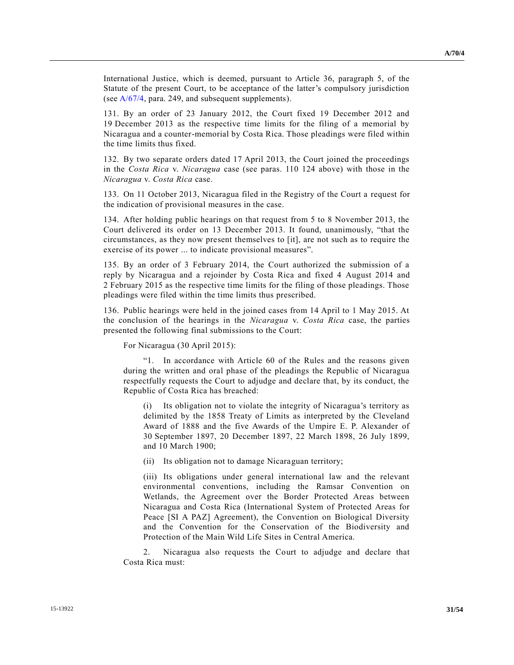International Justice, which is deemed, pursuant to Article 36, paragraph 5, of the Statute of the present Court, to be acceptance of the latter's compulsory jurisdiction (se[e A/67/4,](http://undocs.org/A/67/4) para. 249, and subsequent supplements).

131. By an order of 23 January 2012, the Court fixed 19 December 2012 and 19 December 2013 as the respective time limits for the filing of a memorial by Nicaragua and a counter-memorial by Costa Rica. Those pleadings were filed within the time limits thus fixed.

132. By two separate orders dated 17 April 2013, the Court joined the proceedings in the *Costa Rica* v. *Nicaragua* case (see paras. 110 124 above) with those in the *Nicaragua* v. *Costa Rica* case.

133. On 11 October 2013, Nicaragua filed in the Registry of the Court a request for the indication of provisional measures in the case.

134. After holding public hearings on that request from 5 to 8 November 2013, the Court delivered its order on 13 December 2013. It found, unanimously, "that the circumstances, as they now present themselves to [it], are not such as to require the exercise of its power ... to indicate provisional measures".

135. By an order of 3 February 2014, the Court authorized the submission of a reply by Nicaragua and a rejoinder by Costa Rica and fixed 4 August 2014 and 2 February 2015 as the respective time limits for the filing of those pleadings. Those pleadings were filed within the time limits thus prescribed.

136. Public hearings were held in the joined cases from 14 April to 1 May 2015. At the conclusion of the hearings in the *Nicaragua* v. *Costa Rica* case, the parties presented the following final submissions to the Court:

For Nicaragua (30 April 2015):

"1. In accordance with Article 60 of the Rules and the reasons given during the written and oral phase of the pleadings the Republic of Nicaragua respectfully requests the Court to adjudge and declare that, by its conduct, the Republic of Costa Rica has breached:

(i) Its obligation not to violate the integrity of Nicaragua's territory as delimited by the 1858 Treaty of Limits as interpreted by the Cleveland Award of 1888 and the five Awards of the Umpire E. P. Alexander of 30 September 1897, 20 December 1897, 22 March 1898, 26 July 1899, and 10 March 1900;

(ii) Its obligation not to damage Nicaraguan territory;

(iii) Its obligations under general international law and the relevant environmental conventions, including the Ramsar Convention on Wetlands, the Agreement over the Border Protected Areas between Nicaragua and Costa Rica (International System of Protected Areas for Peace [SI A PAZ] Agreement), the Convention on Biological Diversity and the Convention for the Conservation of the Biodiversity and Protection of the Main Wild Life Sites in Central America.

2. Nicaragua also requests the Court to adjudge and declare that Costa Rica must: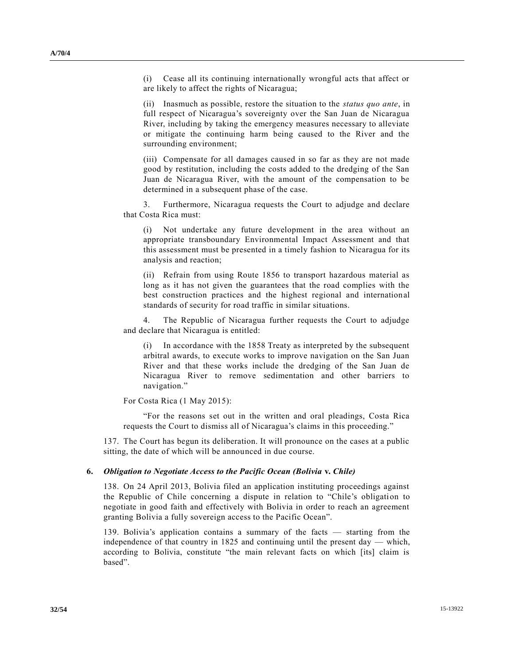(i) Cease all its continuing internationally wrongful acts that affect or are likely to affect the rights of Nicaragua;

(ii) Inasmuch as possible, restore the situation to the *status quo ante*, in full respect of Nicaragua's sovereignty over the San Juan de Nicaragua River, including by taking the emergency measures necessary to alleviate or mitigate the continuing harm being caused to the River and the surrounding environment;

(iii) Compensate for all damages caused in so far as they are not made good by restitution, including the costs added to the dredging of the San Juan de Nicaragua River, with the amount of the compensation to be determined in a subsequent phase of the case.

3. Furthermore, Nicaragua requests the Court to adjudge and declare that Costa Rica must:

(i) Not undertake any future development in the area without an appropriate transboundary Environmental Impact Assessment and that this assessment must be presented in a timely fashion to Nicaragua for its analysis and reaction;

(ii) Refrain from using Route 1856 to transport hazardous material as long as it has not given the guarantees that the road complies with the best construction practices and the highest regional and international standards of security for road traffic in similar situations.

4. The Republic of Nicaragua further requests the Court to adjudge and declare that Nicaragua is entitled:

In accordance with the 1858 Treaty as interpreted by the subsequent arbitral awards, to execute works to improve navigation on the San Juan River and that these works include the dredging of the San Juan de Nicaragua River to remove sedimentation and other barriers to navigation."

For Costa Rica (1 May 2015):

"For the reasons set out in the written and oral pleadings, Costa Rica requests the Court to dismiss all of Nicaragua's claims in this proceeding."

137. The Court has begun its deliberation. It will pronounce on the cases at a public sitting, the date of which will be announced in due course.

#### **6.** *Obligation to Negotiate Access to the Pacific Ocean (Bolivia* **v.** *Chile)*

138. On 24 April 2013, Bolivia filed an application instituting proceedings against the Republic of Chile concerning a dispute in relation to "Chile's obligation to negotiate in good faith and effectively with Bolivia in order to reach an agreement granting Bolivia a fully sovereign access to the Pacific Ocean".

139. Bolivia's application contains a summary of the facts — starting from the independence of that country in 1825 and continuing until the present day — which, according to Bolivia, constitute "the main relevant facts on which [its] claim is based".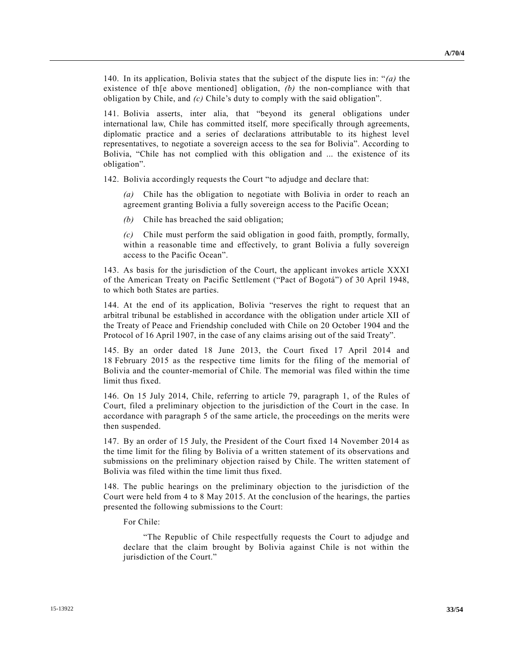140. In its application, Bolivia states that the subject of the dispute lies in: "*(a)* the existence of th[e above mentioned] obligation, *(b)* the non-compliance with that obligation by Chile, and *(c)* Chile's duty to comply with the said obligation".

141. Bolivia asserts, inter alia, that "beyond its general obligations under international law, Chile has committed itself, more specifically through agreements, diplomatic practice and a series of declarations attributable to its highest level representatives, to negotiate a sovereign access to the sea for Bolivia". According to Bolivia, "Chile has not complied with this obligation and ... the existence of its obligation".

142. Bolivia accordingly requests the Court "to adjudge and declare that:

*(a)* Chile has the obligation to negotiate with Bolivia in order to reach an agreement granting Bolivia a fully sovereign access to the Pacific Ocean;

*(b)* Chile has breached the said obligation;

*(c)* Chile must perform the said obligation in good faith, promptly, formally, within a reasonable time and effectively, to grant Bolivia a fully sovereign access to the Pacific Ocean".

143. As basis for the jurisdiction of the Court, the applicant invokes article XXXI of the American Treaty on Pacific Settlement ("Pact of Bogotá") of 30 April 1948, to which both States are parties.

144. At the end of its application, Bolivia "reserves the right to request that an arbitral tribunal be established in accordance with the obligation under article XII of the Treaty of Peace and Friendship concluded with Chile on 20 October 1904 and the Protocol of 16 April 1907, in the case of any claims arising out of the said Treaty".

145. By an order dated 18 June 2013, the Court fixed 17 April 2014 and 18 February 2015 as the respective time limits for the filing of the memorial of Bolivia and the counter-memorial of Chile. The memorial was filed within the time limit thus fixed.

146. On 15 July 2014, Chile, referring to article 79, paragraph 1, of the Rules of Court, filed a preliminary objection to the jurisdiction of the Court in the case. In accordance with paragraph 5 of the same article, the proceedings on the merits were then suspended.

147. By an order of 15 July, the President of the Court fixed 14 November 2014 as the time limit for the filing by Bolivia of a written statement of its observations and submissions on the preliminary objection raised by Chile. The written statement of Bolivia was filed within the time limit thus fixed.

148. The public hearings on the preliminary objection to the jurisdiction of the Court were held from 4 to 8 May 2015. At the conclusion of the hearings, the parties presented the following submissions to the Court:

For Chile:

"The Republic of Chile respectfully requests the Court to adjudge and declare that the claim brought by Bolivia against Chile is not within the jurisdiction of the Court."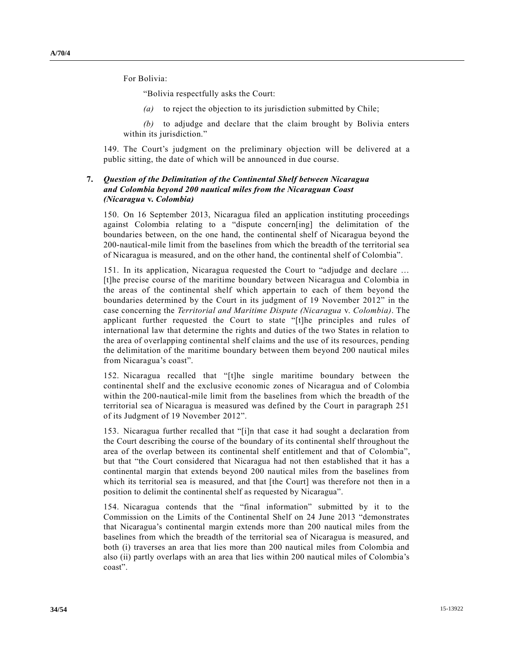For Bolivia:

"Bolivia respectfully asks the Court:

*(a)* to reject the objection to its jurisdiction submitted by Chile;

*(b)* to adjudge and declare that the claim brought by Bolivia enters within its jurisdiction."

149. The Court's judgment on the preliminary objection will be delivered at a public sitting, the date of which will be announced in due course.

### **7.** *Question of the Delimitation of the Continental Shelf between Nicaragua and Colombia beyond 200 nautical miles from the Nicaraguan Coast (Nicaragua* **v.** *Colombia)*

150. On 16 September 2013, Nicaragua filed an application instituting proceedings against Colombia relating to a "dispute concern[ing] the delimitation of the boundaries between, on the one hand, the continental shelf of Nicaragua beyond the 200-nautical-mile limit from the baselines from which the breadth of the territorial sea of Nicaragua is measured, and on the other hand, the continental shelf of Colombia".

151. In its application, Nicaragua requested the Court to "adjudge and declare … [t]he precise course of the maritime boundary between Nicaragua and Colombia in the areas of the continental shelf which appertain to each of them beyond the boundaries determined by the Court in its judgment of 19 November 2012" in the case concerning the *Territorial and Maritime Dispute (Nicaragua* v. *Colombia)*. The applicant further requested the Court to state "[t]he principles and rules of international law that determine the rights and duties of the two States in relation to the area of overlapping continental shelf claims and the use of its resources, pending the delimitation of the maritime boundary between them beyond 200 nautical miles from Nicaragua's coast".

152. Nicaragua recalled that "[t]he single maritime boundary between the continental shelf and the exclusive economic zones of Nicaragua and of Colombia within the 200-nautical-mile limit from the baselines from which the breadth of the territorial sea of Nicaragua is measured was defined by the Court in paragraph 251 of its Judgment of 19 November 2012".

153. Nicaragua further recalled that "[i]n that case it had sought a declaration from the Court describing the course of the boundary of its continental shelf throughout the area of the overlap between its continental shelf entitlement and that of Colombia", but that "the Court considered that Nicaragua had not then established that it has a continental margin that extends beyond 200 nautical miles from the baselines from which its territorial sea is measured, and that [the Court] was therefore not then in a position to delimit the continental shelf as requested by Nicaragua".

154. Nicaragua contends that the "final information" submitted by it to the Commission on the Limits of the Continental Shelf on 24 June 2013 "demonstrates that Nicaragua's continental margin extends more than 200 nautical miles from the baselines from which the breadth of the territorial sea of Nicaragua is measured, and both (i) traverses an area that lies more than 200 nautical miles from Colombia and also (ii) partly overlaps with an area that lies within 200 nautical miles of Colombia's coast".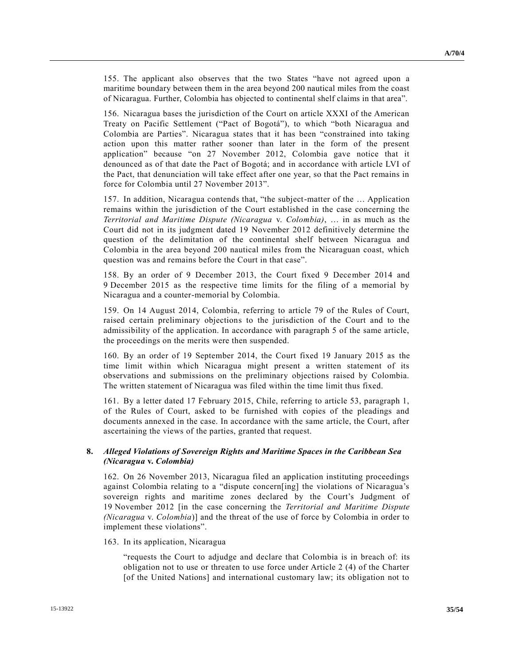**A/70/4**

155. The applicant also observes that the two States "have not agreed upon a maritime boundary between them in the area beyond 200 nautical miles from the coast of Nicaragua. Further, Colombia has objected to continental shelf claims in that area".

156. Nicaragua bases the jurisdiction of the Court on article XXXI of the American Treaty on Pacific Settlement ("Pact of Bogotá"), to which "both Nicaragua and Colombia are Parties". Nicaragua states that it has been "constrained into taking action upon this matter rather sooner than later in the form of the present application" because "on 27 November 2012, Colombia gave notice that it denounced as of that date the Pact of Bogotá; and in accordance with article LVI of the Pact, that denunciation will take effect after one year, so that the Pact remains in force for Colombia until 27 November 2013".

157. In addition, Nicaragua contends that, "the subject-matter of the … Application remains within the jurisdiction of the Court established in the case concerning the *Territorial and Maritime Dispute (Nicaragua* v. *Colombia)*, … in as much as the Court did not in its judgment dated 19 November 2012 definitively determine the question of the delimitation of the continental shelf between Nicaragua and Colombia in the area beyond 200 nautical miles from the Nicaraguan coast, which question was and remains before the Court in that case".

158. By an order of 9 December 2013, the Court fixed 9 December 2014 and 9 December 2015 as the respective time limits for the filing of a memorial by Nicaragua and a counter-memorial by Colombia.

159. On 14 August 2014, Colombia, referring to article 79 of the Rules of Court, raised certain preliminary objections to the jurisdiction of the Court and to the admissibility of the application. In accordance with paragraph 5 of the same article, the proceedings on the merits were then suspended.

160. By an order of 19 September 2014, the Court fixed 19 January 2015 as the time limit within which Nicaragua might present a written statement of its observations and submissions on the preliminary objections raised by Colombia. The written statement of Nicaragua was filed within the time limit thus fixed.

161. By a letter dated 17 February 2015, Chile, referring to article 53, paragraph 1, of the Rules of Court, asked to be furnished with copies of the pleadings and documents annexed in the case. In accordance with the same article, the Court, after ascertaining the views of the parties, granted that request.

### **8.** *Alleged Violations of Sovereign Rights and Maritime Spaces in the Caribbean Sea (Nicaragua* **v.** *Colombia)*

162. On 26 November 2013, Nicaragua filed an application instituting proceedings against Colombia relating to a "dispute concern[ing] the violations of Nicaragua's sovereign rights and maritime zones declared by the Court's Judgment of 19 November 2012 [in the case concerning the *Territorial and Maritime Dispute (Nicaragua* v. *Colombia*)] and the threat of the use of force by Colombia in order to implement these violations".

163. In its application, Nicaragua

"requests the Court to adjudge and declare that Colombia is in breach of: its obligation not to use or threaten to use force under Article 2 (4) of the Charter [of the United Nations] and international customary law; its obligation not to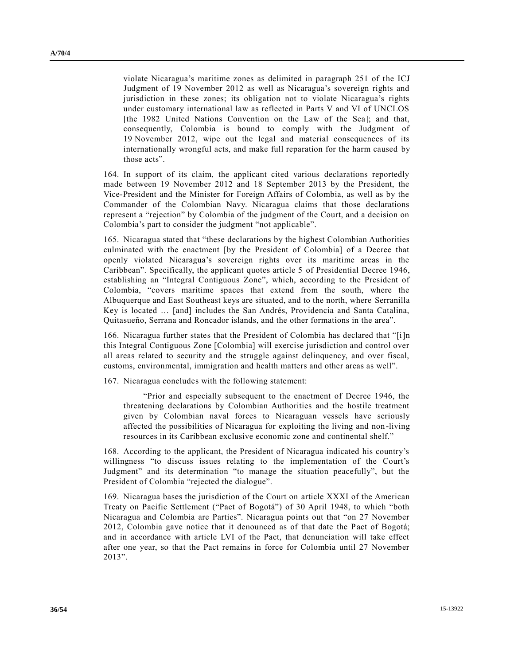violate Nicaragua's maritime zones as delimited in paragraph 251 of the ICJ Judgment of 19 November 2012 as well as Nicaragua's sovereign rights and jurisdiction in these zones; its obligation not to violate Nicaragua's rights under customary international law as reflected in Parts V and VI of UNCLOS [the 1982 United Nations Convention on the Law of the Sea]; and that, consequently, Colombia is bound to comply with the Judgment of 19 November 2012, wipe out the legal and material consequences of its internationally wrongful acts, and make full reparation for the harm caused by those acts".

164. In support of its claim, the applicant cited various declarations reportedly made between 19 November 2012 and 18 September 2013 by the President, the Vice-President and the Minister for Foreign Affairs of Colombia, as well as by the Commander of the Colombian Navy. Nicaragua claims that those declarations represent a "rejection" by Colombia of the judgment of the Court, and a decision on Colombia's part to consider the judgment "not applicable".

165. Nicaragua stated that "these declarations by the highest Colombian Authorities culminated with the enactment [by the President of Colombia] of a Decree that openly violated Nicaragua's sovereign rights over its maritime areas in the Caribbean". Specifically, the applicant quotes article 5 of Presidential Decree 1946, establishing an "Integral Contiguous Zone", which, according to the President of Colombia, "covers maritime spaces that extend from the south, where the Albuquerque and East Southeast keys are situated, and to the north, where Serranilla Key is located … [and] includes the San Andrés, Providencia and Santa Catalina, Quitasueño, Serrana and Roncador islands, and the other formations in the area".

166. Nicaragua further states that the President of Colombia has declared that "[i]n this Integral Contiguous Zone [Colombia] will exercise jurisdiction and control over all areas related to security and the struggle against delinquency, and over fiscal, customs, environmental, immigration and health matters and other areas as well".

167. Nicaragua concludes with the following statement:

"Prior and especially subsequent to the enactment of Decree 1946, the threatening declarations by Colombian Authorities and the hostile treatment given by Colombian naval forces to Nicaraguan vessels have seriously affected the possibilities of Nicaragua for exploiting the living and non -living resources in its Caribbean exclusive economic zone and continental shelf."

168. According to the applicant, the President of Nicaragua indicated his country's willingness "to discuss issues relating to the implementation of the Court's Judgment" and its determination "to manage the situation peacefully", but the President of Colombia "rejected the dialogue".

169. Nicaragua bases the jurisdiction of the Court on article XXXI of the American Treaty on Pacific Settlement ("Pact of Bogotá") of 30 April 1948, to which "both Nicaragua and Colombia are Parties". Nicaragua points out that "on 27 November 2012, Colombia gave notice that it denounced as of that date the Pact of Bogotá; and in accordance with article LVI of the Pact, that denunciation will take effect after one year, so that the Pact remains in force for Colombia until 27 November 2013".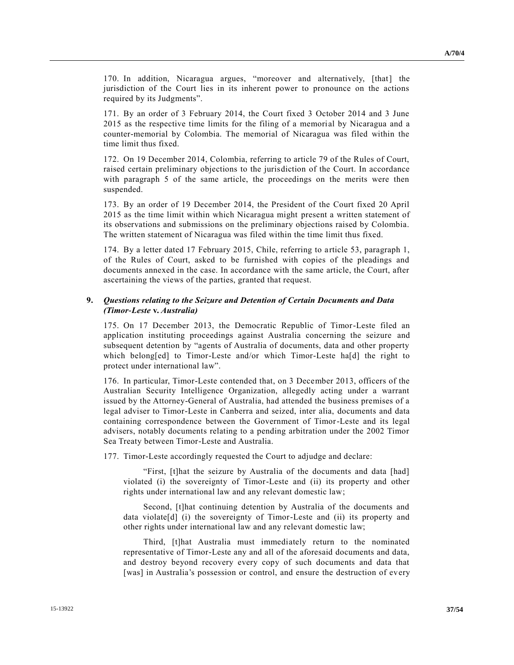170. In addition, Nicaragua argues, "moreover and alternatively, [that] the jurisdiction of the Court lies in its inherent power to pronounce on the actions required by its Judgments".

171. By an order of 3 February 2014, the Court fixed 3 October 2014 and 3 June 2015 as the respective time limits for the filing of a memorial by Nicaragua and a counter-memorial by Colombia. The memorial of Nicaragua was filed within the time limit thus fixed.

172. On 19 December 2014, Colombia, referring to article 79 of the Rules of Court, raised certain preliminary objections to the jurisdiction of the Court. In accordance with paragraph 5 of the same article, the proceedings on the merits were then suspended.

173. By an order of 19 December 2014, the President of the Court fixed 20 April 2015 as the time limit within which Nicaragua might present a written statement of its observations and submissions on the preliminary objections raised by Colombia. The written statement of Nicaragua was filed within the time limit thus fixed.

174. By a letter dated 17 February 2015, Chile, referring to article 53, paragraph 1, of the Rules of Court, asked to be furnished with copies of the pleadings and documents annexed in the case. In accordance with the same article, the Court, after ascertaining the views of the parties, granted that request.

### **9.** *Questions relating to the Seizure and Detention of Certain Documents and Data (Timor-Leste* **v.** *Australia)*

175. On 17 December 2013, the Democratic Republic of Timor-Leste filed an application instituting proceedings against Australia concerning the seizure and subsequent detention by "agents of Australia of documents, data and other property which belong[ed] to Timor-Leste and/or which Timor-Leste ha[d] the right to protect under international law".

176. In particular, Timor-Leste contended that, on 3 December 2013, officers of the Australian Security Intelligence Organization, allegedly acting under a warrant issued by the Attorney-General of Australia, had attended the business premises of a legal adviser to Timor-Leste in Canberra and seized, inter alia, documents and data containing correspondence between the Government of Timor-Leste and its legal advisers, notably documents relating to a pending arbitration under the 2002 Timor Sea Treaty between Timor-Leste and Australia.

177. Timor-Leste accordingly requested the Court to adjudge and declare:

"First, [t]hat the seizure by Australia of the documents and data [had] violated (i) the sovereignty of Timor-Leste and (ii) its property and other rights under international law and any relevant domestic law;

Second, [t]hat continuing detention by Australia of the documents and data violate[d] (i) the sovereignty of Timor-Leste and (ii) its property and other rights under international law and any relevant domestic law;

Third, [t]hat Australia must immediately return to the nominated representative of Timor-Leste any and all of the aforesaid documents and data, and destroy beyond recovery every copy of such documents and data that [was] in Australia's possession or control, and ensure the destruction of every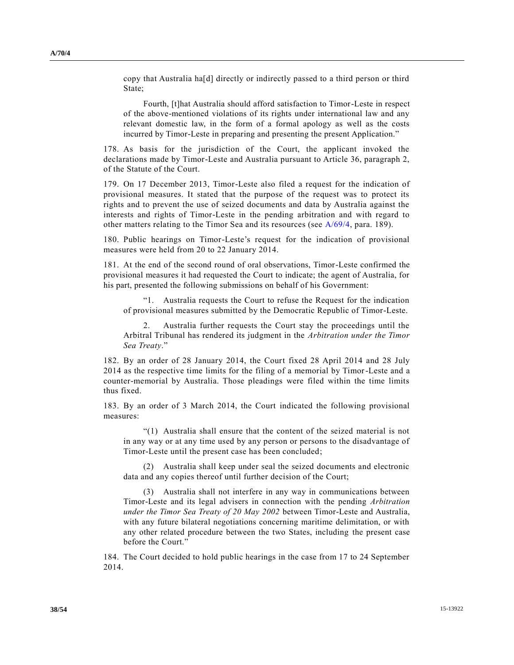copy that Australia ha[d] directly or indirectly passed to a third person or third State;

Fourth, [t]hat Australia should afford satisfaction to Timor-Leste in respect of the above-mentioned violations of its rights under international law and any relevant domestic law, in the form of a formal apology as well as the costs incurred by Timor-Leste in preparing and presenting the present Application."

178. As basis for the jurisdiction of the Court, the applicant invoked the declarations made by Timor-Leste and Australia pursuant to Article 36, paragraph 2, of the Statute of the Court.

179. On 17 December 2013, Timor-Leste also filed a request for the indication of provisional measures. It stated that the purpose of the request was to protect its rights and to prevent the use of seized documents and data by Australia against the interests and rights of Timor-Leste in the pending arbitration and with regard to other matters relating to the Timor Sea and its resources (see [A/69/4,](http://undocs.org/A/69/4) para. 189).

180. Public hearings on Timor-Leste's request for the indication of provisional measures were held from 20 to 22 January 2014.

181. At the end of the second round of oral observations, Timor-Leste confirmed the provisional measures it had requested the Court to indicate; the agent of Australia, for his part, presented the following submissions on behalf of his Government:

Australia requests the Court to refuse the Request for the indication of provisional measures submitted by the Democratic Republic of Timor-Leste.

2. Australia further requests the Court stay the proceedings until the Arbitral Tribunal has rendered its judgment in the *Arbitration under the Timor Sea Treaty*."

182. By an order of 28 January 2014, the Court fixed 28 April 2014 and 28 July 2014 as the respective time limits for the filing of a memorial by Timor-Leste and a counter-memorial by Australia. Those pleadings were filed within the time limits thus fixed.

183. By an order of 3 March 2014, the Court indicated the following provisional measures:

"(1) Australia shall ensure that the content of the seized material is not in any way or at any time used by any person or persons to the disadvantage of Timor-Leste until the present case has been concluded;

(2) Australia shall keep under seal the seized documents and electronic data and any copies thereof until further decision of the Court;

(3) Australia shall not interfere in any way in communications between Timor-Leste and its legal advisers in connection with the pending *Arbitration under the Timor Sea Treaty of 20 May 2002* between Timor-Leste and Australia, with any future bilateral negotiations concerning maritime delimitation, or with any other related procedure between the two States, including the present case before the Court."

184. The Court decided to hold public hearings in the case from 17 to 24 September 2014.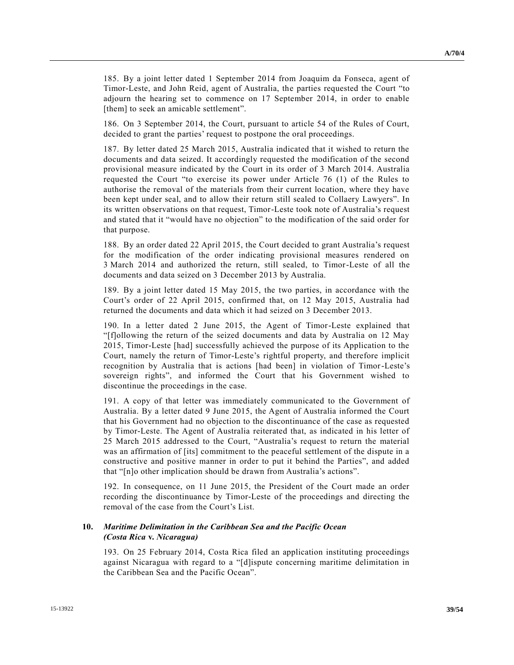185. By a joint letter dated 1 September 2014 from Joaquim da Fonseca, agent of Timor-Leste, and John Reid, agent of Australia, the parties requested the Court "to adjourn the hearing set to commence on 17 September 2014, in order to enable [them] to seek an amicable settlement".

186. On 3 September 2014, the Court, pursuant to article 54 of the Rules of Court, decided to grant the parties' request to postpone the oral proceedings.

187. By letter dated 25 March 2015, Australia indicated that it wished to return the documents and data seized. It accordingly requested the modification of the second provisional measure indicated by the Court in its order of 3 March 2014. Australia requested the Court "to exercise its power under Article 76 (1) of the Rules to authorise the removal of the materials from their current location, where they have been kept under seal, and to allow their return still sealed to Collaery Lawyers". In its written observations on that request, Timor-Leste took note of Australia's request and stated that it "would have no objection" to the modification of the said order for that purpose.

188. By an order dated 22 April 2015, the Court decided to grant Australia's request for the modification of the order indicating provisional measures rendered on 3 March 2014 and authorized the return, still sealed, to Timor-Leste of all the documents and data seized on 3 December 2013 by Australia.

189. By a joint letter dated 15 May 2015, the two parties, in accordance with the Court's order of 22 April 2015, confirmed that, on 12 May 2015, Australia had returned the documents and data which it had seized on 3 December 2013.

190. In a letter dated 2 June 2015, the Agent of Timor-Leste explained that "[f]ollowing the return of the seized documents and data by Australia on 12 May 2015, Timor-Leste [had] successfully achieved the purpose of its Application to the Court, namely the return of Timor-Leste's rightful property, and therefore implicit recognition by Australia that is actions [had been] in violation of Timor-Leste's sovereign rights", and informed the Court that his Government wished to discontinue the proceedings in the case.

191. A copy of that letter was immediately communicated to the Government of Australia. By a letter dated 9 June 2015, the Agent of Australia informed the Court that his Government had no objection to the discontinuance of the case as requested by Timor-Leste. The Agent of Australia reiterated that, as indicated in his letter of 25 March 2015 addressed to the Court, "Australia's request to return the material was an affirmation of [its] commitment to the peaceful settlement of the dispute in a constructive and positive manner in order to put it behind the Parties", and added that "[n]o other implication should be drawn from Australia's actions".

192. In consequence, on 11 June 2015, the President of the Court made an order recording the discontinuance by Timor-Leste of the proceedings and directing the removal of the case from the Court's List.

### **10.** *Maritime Delimitation in the Caribbean Sea and the Pacific Ocean (Costa Rica* **v.** *Nicaragua)*

193. On 25 February 2014, Costa Rica filed an application instituting proceedings against Nicaragua with regard to a "[d]ispute concerning maritime delimitation in the Caribbean Sea and the Pacific Ocean".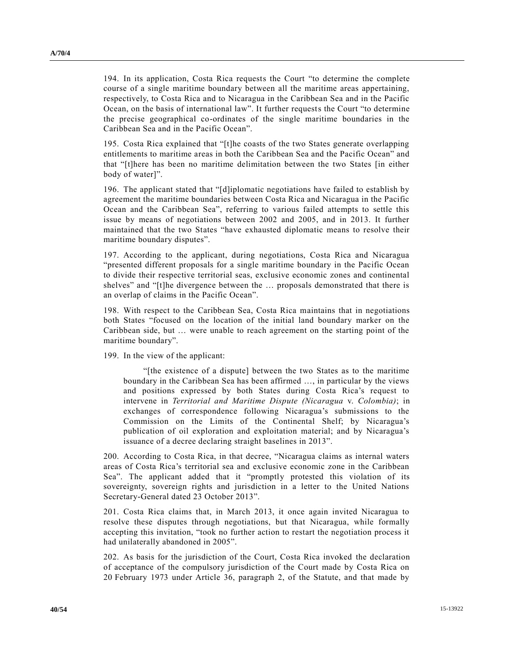194. In its application, Costa Rica requests the Court "to determine the complete course of a single maritime boundary between all the maritime areas appertaining, respectively, to Costa Rica and to Nicaragua in the Caribbean Sea and in the Pacific Ocean, on the basis of international law". It further requests the Court "to determine the precise geographical co-ordinates of the single maritime boundaries in the Caribbean Sea and in the Pacific Ocean".

195. Costa Rica explained that "[t]he coasts of the two States generate overlapping entitlements to maritime areas in both the Caribbean Sea and the Pacific Ocean" and that "[t]here has been no maritime delimitation between the two States [in either body of water]".

196. The applicant stated that "[d]iplomatic negotiations have failed to establish by agreement the maritime boundaries between Costa Rica and Nicaragua in the Pacific Ocean and the Caribbean Sea", referring to various failed attempts to settle this issue by means of negotiations between 2002 and 2005, and in 2013. It further maintained that the two States "have exhausted diplomatic means to resolve their maritime boundary disputes".

197. According to the applicant, during negotiations, Costa Rica and Nicaragua "presented different proposals for a single maritime boundary in the Pacific Ocean to divide their respective territorial seas, exclusive economic zones and continental shelves" and "[t]he divergence between the … proposals demonstrated that there is an overlap of claims in the Pacific Ocean".

198. With respect to the Caribbean Sea, Costa Rica maintains that in negotiations both States "focused on the location of the initial land boundary marker on the Caribbean side, but … were unable to reach agreement on the starting point of the maritime boundary".

199. In the view of the applicant:

"[the existence of a dispute] between the two States as to the maritime boundary in the Caribbean Sea has been affirmed …, in particular by the views and positions expressed by both States during Costa Rica's request to intervene in *Territorial and Maritime Dispute (Nicaragua* v. *Colombia)*; in exchanges of correspondence following Nicaragua's submissions to the Commission on the Limits of the Continental Shelf; by Nicaragua's publication of oil exploration and exploitation material; and by Nicaragua's issuance of a decree declaring straight baselines in 2013".

200. According to Costa Rica, in that decree, "Nicaragua claims as internal waters areas of Costa Rica's territorial sea and exclusive economic zone in the Caribbean Sea". The applicant added that it "promptly protested this violation of its sovereignty, sovereign rights and jurisdiction in a letter to the United Nations Secretary-General dated 23 October 2013".

201. Costa Rica claims that, in March 2013, it once again invited Nicaragua to resolve these disputes through negotiations, but that Nicaragua, while formally accepting this invitation, "took no further action to restart the negotiation process it had unilaterally abandoned in 2005".

202. As basis for the jurisdiction of the Court, Costa Rica invoked the declaration of acceptance of the compulsory jurisdiction of the Court made by Costa Rica on 20 February 1973 under Article 36, paragraph 2, of the Statute, and that made by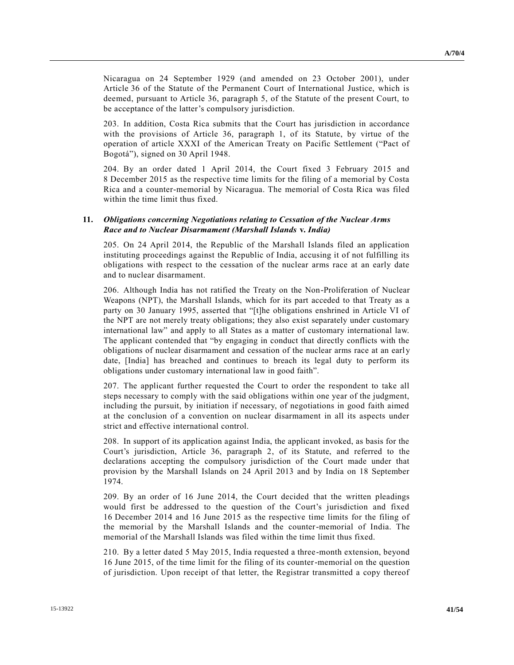Nicaragua on 24 September 1929 (and amended on 23 October 2001), under Article 36 of the Statute of the Permanent Court of International Justice, which is deemed, pursuant to Article 36, paragraph 5, of the Statute of the present Court, to be acceptance of the latter's compulsory jurisdiction.

203. In addition, Costa Rica submits that the Court has jurisdiction in accordance with the provisions of Article 36, paragraph 1, of its Statute, by virtue of the operation of article XXXI of the American Treaty on Pacific Settlement ("Pact of Bogotá"), signed on 30 April 1948.

204. By an order dated 1 April 2014, the Court fixed 3 February 2015 and 8 December 2015 as the respective time limits for the filing of a memorial by Costa Rica and a counter-memorial by Nicaragua. The memorial of Costa Rica was filed within the time limit thus fixed.

### **11.** *Obligations concerning Negotiations relating to Cessation of the Nuclear Arms Race and to Nuclear Disarmament (Marshall Islands* **v.** *India)*

205. On 24 April 2014, the Republic of the Marshall Islands filed an application instituting proceedings against the Republic of India, accusing it of not fulfilling its obligations with respect to the cessation of the nuclear arms race at an early date and to nuclear disarmament.

206. Although India has not ratified the Treaty on the Non-Proliferation of Nuclear Weapons (NPT), the Marshall Islands, which for its part acceded to that Treaty as a party on 30 January 1995, asserted that "[t]he obligations enshrined in Article VI of the NPT are not merely treaty obligations; they also exist separately under customary international law" and apply to all States as a matter of customary international law. The applicant contended that "by engaging in conduct that directly conflicts with the obligations of nuclear disarmament and cessation of the nuclear arms race at an earl y date, [India] has breached and continues to breach its legal duty to perform its obligations under customary international law in good faith".

207. The applicant further requested the Court to order the respondent to take all steps necessary to comply with the said obligations within one year of the judgment, including the pursuit, by initiation if necessary, of negotiations in good faith aimed at the conclusion of a convention on nuclear disarmament in all its aspects under strict and effective international control.

208. In support of its application against India, the applicant invoked, as basis for the Court's jurisdiction, Article 36, paragraph 2, of its Statute, and referred to the declarations accepting the compulsory jurisdiction of the Court made under that provision by the Marshall Islands on 24 April 2013 and by India on 18 September 1974.

209. By an order of 16 June 2014, the Court decided that the written pleadings would first be addressed to the question of the Court's jurisdiction and fixed 16 December 2014 and 16 June 2015 as the respective time limits for the filing of the memorial by the Marshall Islands and the counter-memorial of India. The memorial of the Marshall Islands was filed within the time limit thus fixed.

210. By a letter dated 5 May 2015, India requested a three-month extension, beyond 16 June 2015, of the time limit for the filing of its counter-memorial on the question of jurisdiction. Upon receipt of that letter, the Registrar transmitted a copy thereof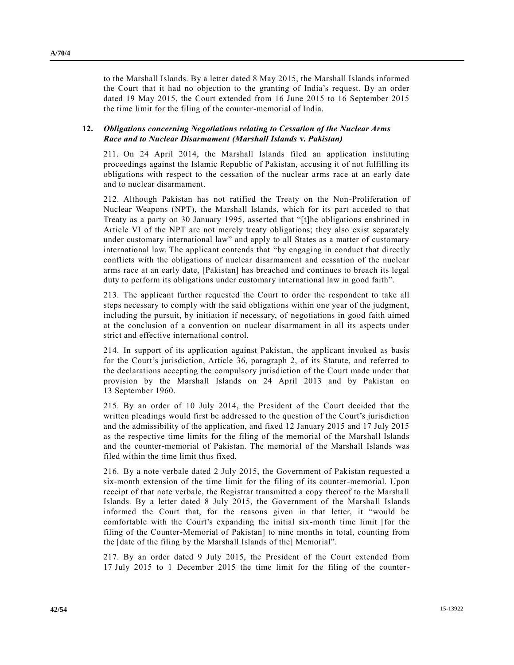to the Marshall Islands. By a letter dated 8 May 2015, the Marshall Islands informed the Court that it had no objection to the granting of India's request. By an order dated 19 May 2015, the Court extended from 16 June 2015 to 16 September 2015 the time limit for the filing of the counter-memorial of India.

### **12.** *Obligations concerning Negotiations relating to Cessation of the Nuclear Arms Race and to Nuclear Disarmament (Marshall Islands* **v.** *Pakistan)*

211. On 24 April 2014, the Marshall Islands filed an application instituting proceedings against the Islamic Republic of Pakistan, accusing it of not fulfilling its obligations with respect to the cessation of the nuclear arms race at an early date and to nuclear disarmament.

212. Although Pakistan has not ratified the Treaty on the Non-Proliferation of Nuclear Weapons (NPT), the Marshall Islands, which for its part acceded to that Treaty as a party on 30 January 1995, asserted that "[t]he obligations enshrined in Article VI of the NPT are not merely treaty obligations; they also exist separately under customary international law" and apply to all States as a matter of customary international law. The applicant contends that "by engaging in conduct that directly conflicts with the obligations of nuclear disarmament and cessation of the nuclear arms race at an early date, [Pakistan] has breached and continues to breach its legal duty to perform its obligations under customary international law in good faith".

213. The applicant further requested the Court to order the respondent to take all steps necessary to comply with the said obligations within one year of the judgment, including the pursuit, by initiation if necessary, of negotiations in good faith aimed at the conclusion of a convention on nuclear disarmament in all its aspects under strict and effective international control.

214. In support of its application against Pakistan, the applicant invoked as basis for the Court's jurisdiction, Article 36, paragraph 2, of its Statute, and referred to the declarations accepting the compulsory jurisdiction of the Court made under that provision by the Marshall Islands on 24 April 2013 and by Pakistan on 13 September 1960.

215. By an order of 10 July 2014, the President of the Court decided that the written pleadings would first be addressed to the question of the Court's jurisdiction and the admissibility of the application, and fixed 12 January 2015 and 17 July 2015 as the respective time limits for the filing of the memorial of the Marshall Islands and the counter-memorial of Pakistan. The memorial of the Marshall Islands was filed within the time limit thus fixed.

216. By a note verbale dated 2 July 2015, the Government of Pakistan requested a six-month extension of the time limit for the filing of its counter-memorial. Upon receipt of that note verbale, the Registrar transmitted a copy thereof to the Marshall Islands. By a letter dated 8 July 2015, the Government of the Marshall Islands informed the Court that, for the reasons given in that letter, it "would be comfortable with the Court's expanding the initial six-month time limit [for the filing of the Counter-Memorial of Pakistan] to nine months in total, counting from the [date of the filing by the Marshall Islands of the] Memorial".

217. By an order dated 9 July 2015, the President of the Court extended from 17 July 2015 to 1 December 2015 the time limit for the filing of the counter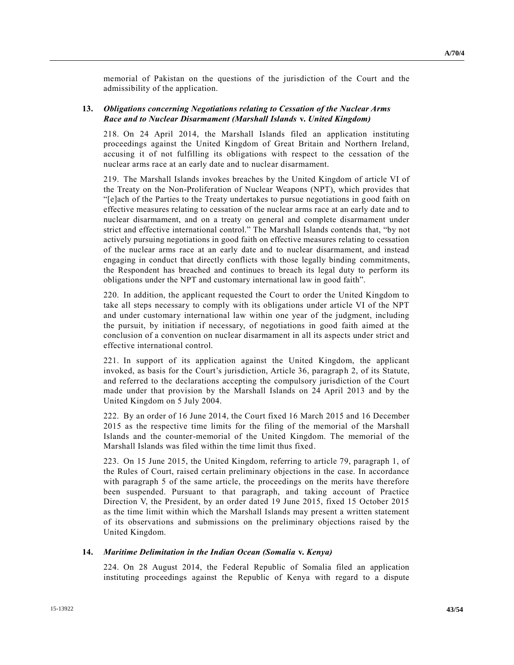memorial of Pakistan on the questions of the jurisdiction of the Court and the admissibility of the application.

### **13.** *Obligations concerning Negotiations relating to Cessation of the Nuclear Arms Race and to Nuclear Disarmament (Marshall Islands* **v.** *United Kingdom)*

218. On 24 April 2014, the Marshall Islands filed an application instituting proceedings against the United Kingdom of Great Britain and Northern Ireland, accusing it of not fulfilling its obligations with respect to the cessation of the nuclear arms race at an early date and to nuclear disarmament.

219. The Marshall Islands invokes breaches by the United Kingdom of article VI of the Treaty on the Non-Proliferation of Nuclear Weapons (NPT), which provides that "[e]ach of the Parties to the Treaty undertakes to pursue negotiations in good faith on effective measures relating to cessation of the nuclear arms race at an early date and to nuclear disarmament, and on a treaty on general and complete disarmament under strict and effective international control." The Marshall Islands contends that, "by not actively pursuing negotiations in good faith on effective measures relating to cessation of the nuclear arms race at an early date and to nuclear disarmament, and instead engaging in conduct that directly conflicts with those legally binding commitments, the Respondent has breached and continues to breach its legal duty to perform its obligations under the NPT and customary international law in good faith".

220. In addition, the applicant requested the Court to order the United Kingdom to take all steps necessary to comply with its obligations under article VI of the NPT and under customary international law within one year of the judgment, including the pursuit, by initiation if necessary, of negotiations in good faith aimed at the conclusion of a convention on nuclear disarmament in all its aspects under strict and effective international control.

221. In support of its application against the United Kingdom, the applicant invoked, as basis for the Court's jurisdiction, Article 36, paragraph 2, of its Statute, and referred to the declarations accepting the compulsory jurisdiction of the Court made under that provision by the Marshall Islands on 24 April 2013 and by the United Kingdom on 5 July 2004.

222. By an order of 16 June 2014, the Court fixed 16 March 2015 and 16 December 2015 as the respective time limits for the filing of the memorial of the Marshall Islands and the counter-memorial of the United Kingdom. The memorial of the Marshall Islands was filed within the time limit thus fixed.

223. On 15 June 2015, the United Kingdom, referring to article 79, paragraph 1, of the Rules of Court, raised certain preliminary objections in the case. In accordance with paragraph 5 of the same article, the proceedings on the merits have therefore been suspended. Pursuant to that paragraph, and taking account of Practice Direction V, the President, by an order dated 19 June 2015, fixed 15 October 2015 as the time limit within which the Marshall Islands may present a written statement of its observations and submissions on the preliminary objections raised by the United Kingdom.

#### **14.** *Maritime Delimitation in the Indian Ocean (Somalia* **v.** *Kenya)*

224. On 28 August 2014, the Federal Republic of Somalia filed an application instituting proceedings against the Republic of Kenya with regard to a dispute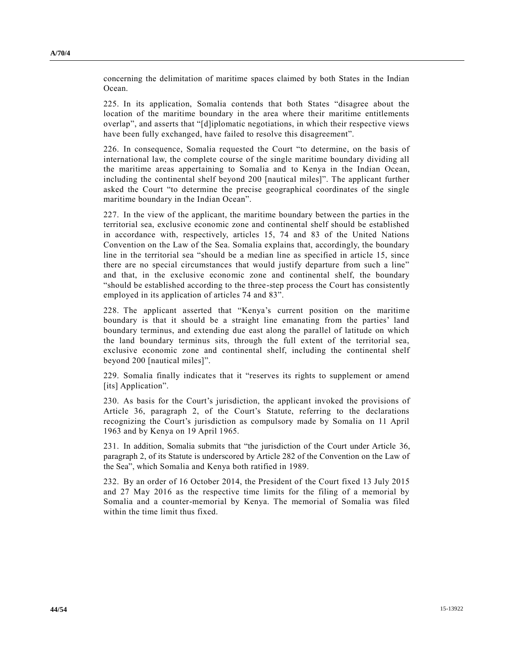concerning the delimitation of maritime spaces claimed by both States in the Indian Ocean.

225. In its application, Somalia contends that both States "disagree about the location of the maritime boundary in the area where their maritime entitlements overlap", and asserts that "[d]iplomatic negotiations, in which their respective views have been fully exchanged, have failed to resolve this disagreement".

226. In consequence, Somalia requested the Court "to determine, on the basis of international law, the complete course of the single maritime boundary dividing all the maritime areas appertaining to Somalia and to Kenya in the Indian Ocean, including the continental shelf beyond 200 [nautical miles]". The applicant further asked the Court "to determine the precise geographical coordinates of the single maritime boundary in the Indian Ocean".

227. In the view of the applicant, the maritime boundary between the parties in the territorial sea, exclusive economic zone and continental shelf should be established in accordance with, respectively, articles 15, 74 and 83 of the United Nations Convention on the Law of the Sea. Somalia explains that, accordingly, the boundary line in the territorial sea "should be a median line as specified in article 15, since there are no special circumstances that would justify departure from such a line" and that, in the exclusive economic zone and continental shelf, the boundary "should be established according to the three-step process the Court has consistently employed in its application of articles 74 and 83".

228. The applicant asserted that "Kenya's current position on the maritime boundary is that it should be a straight line emanating from the parties' land boundary terminus, and extending due east along the parallel of latitude on which the land boundary terminus sits, through the full extent of the territorial sea, exclusive economic zone and continental shelf, including the continental shelf beyond 200 [nautical miles]".

229. Somalia finally indicates that it "reserves its rights to supplement or amend [its] Application".

230. As basis for the Court's jurisdiction, the applicant invoked the provisions of Article 36, paragraph 2, of the Court's Statute, referring to the declarations recognizing the Court's jurisdiction as compulsory made by Somalia on 11 April 1963 and by Kenya on 19 April 1965.

231. In addition, Somalia submits that "the jurisdiction of the Court under Article 36, paragraph 2, of its Statute is underscored by Article 282 of the Convention on the Law of the Sea", which Somalia and Kenya both ratified in 1989.

232. By an order of 16 October 2014, the President of the Court fixed 13 July 2015 and 27 May 2016 as the respective time limits for the filing of a memorial by Somalia and a counter-memorial by Kenya. The memorial of Somalia was filed within the time limit thus fixed.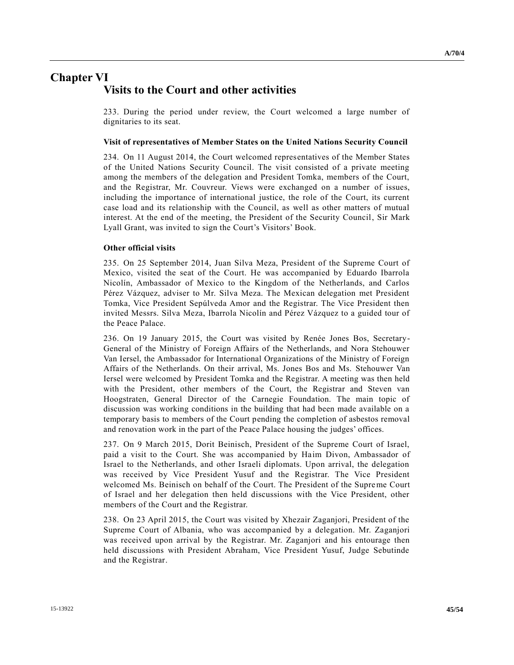## **Chapter VI Visits to the Court and other activities**

233. During the period under review, the Court welcomed a large number of dignitaries to its seat.

#### **Visit of representatives of Member States on the United Nations Security Council**

234. On 11 August 2014, the Court welcomed representatives of the Member States of the United Nations Security Council. The visit consisted of a private meeting among the members of the delegation and President Tomka, members of the Court, and the Registrar, Mr. Couvreur. Views were exchanged on a number of issues, including the importance of international justice, the role of the Court, its current case load and its relationship with the Council, as well as other matters of mutual interest. At the end of the meeting, the President of the Security Council, Sir Mark Lyall Grant, was invited to sign the Court's Visitors' Book.

#### **Other official visits**

235. On 25 September 2014, Juan Silva Meza, President of the Supreme Court of Mexico, visited the seat of the Court. He was accompanied by Eduardo Ibarrola Nicolín, Ambassador of Mexico to the Kingdom of the Netherlands, and Carlos Pérez Vázquez, adviser to Mr. Silva Meza. The Mexican delegation met President Tomka, Vice President Sepúlveda Amor and the Registrar. The Vice President then invited Messrs. Silva Meza, Ibarrola Nicolín and Pérez Vázquez to a guided tour of the Peace Palace.

236. On 19 January 2015, the Court was visited by Renée Jones Bos, Secretary-General of the Ministry of Foreign Affairs of the Netherlands, and Nora Stehouwer Van Iersel, the Ambassador for International Organizations of the Ministry of Foreign Affairs of the Netherlands. On their arrival, Ms. Jones Bos and Ms. Stehouwer Van Iersel were welcomed by President Tomka and the Registrar. A meeting was then held with the President, other members of the Court, the Registrar and Steven van Hoogstraten, General Director of the Carnegie Foundation. The main topic of discussion was working conditions in the building that had been made available on a temporary basis to members of the Court pending the completion of asbestos removal and renovation work in the part of the Peace Palace housing the judges' offices.

237. On 9 March 2015, Dorit Beinisch, President of the Supreme Court of Israel, paid a visit to the Court. She was accompanied by Haim Divon, Ambassador of Israel to the Netherlands, and other Israeli diplomats. Upon arrival, the delegation was received by Vice President Yusuf and the Registrar. The Vice President welcomed Ms. Beinisch on behalf of the Court. The President of the Supreme Court of Israel and her delegation then held discussions with the Vice President, other members of the Court and the Registrar.

238. On 23 April 2015, the Court was visited by Xhezair Zaganjori, President of the Supreme Court of Albania, who was accompanied by a delegation. Mr. Zaganjori was received upon arrival by the Registrar. Mr. Zaganjori and his entourage then held discussions with President Abraham, Vice President Yusuf, Judge Sebutinde and the Registrar.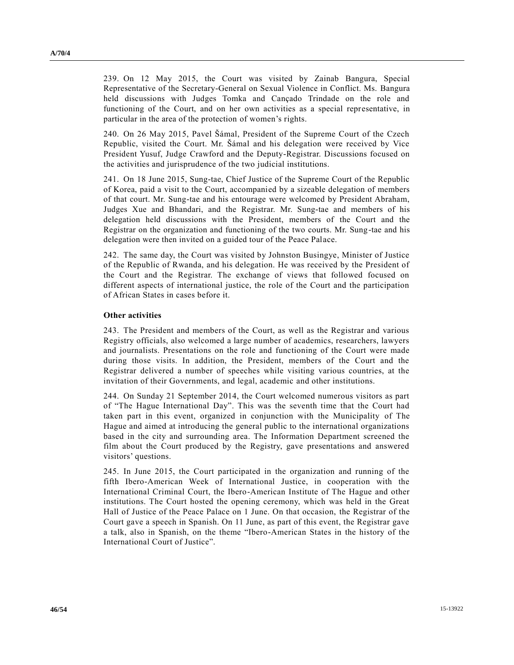239. On 12 May 2015, the Court was visited by Zainab Bangura, Special Representative of the Secretary-General on Sexual Violence in Conflict. Ms. Bangura held discussions with Judges Tomka and Cançado Trindade on the role and functioning of the Court, and on her own activities as a special representative, in particular in the area of the protection of women's rights.

240. On 26 May 2015, Pavel Šámal, President of the Supreme Court of the Czech Republic, visited the Court. Mr. Šámal and his delegation were received by Vice President Yusuf, Judge Crawford and the Deputy-Registrar. Discussions focused on the activities and jurisprudence of the two judicial institutions.

241. On 18 June 2015, Sung-tae, Chief Justice of the Supreme Court of the Republic of Korea, paid a visit to the Court, accompanied by a sizeable delegation of members of that court. Mr. Sung-tae and his entourage were welcomed by President Abraham, Judges Xue and Bhandari, and the Registrar. Mr. Sung-tae and members of his delegation held discussions with the President, members of the Court and the Registrar on the organization and functioning of the two courts. Mr. Sung-tae and his delegation were then invited on a guided tour of the Peace Palace.

242. The same day, the Court was visited by Johnston Busingye, Minister of Justice of the Republic of Rwanda, and his delegation. He was received by the President of the Court and the Registrar. The exchange of views that followed focused on different aspects of international justice, the role of the Court and the participation of African States in cases before it.

#### **Other activities**

243. The President and members of the Court, as well as the Registrar and various Registry officials, also welcomed a large number of academics, researchers, lawyers and journalists. Presentations on the role and functioning of the Court were made during those visits. In addition, the President, members of the Court and the Registrar delivered a number of speeches while visiting various countries, at the invitation of their Governments, and legal, academic and other institutions.

244. On Sunday 21 September 2014, the Court welcomed numerous visitors as part of "The Hague International Day". This was the seventh time that the Court had taken part in this event, organized in conjunction with the Municipality of The Hague and aimed at introducing the general public to the international organizations based in the city and surrounding area. The Information Department screened the film about the Court produced by the Registry, gave presentations and answered visitors' questions.

245. In June 2015, the Court participated in the organization and running of the fifth Ibero-American Week of International Justice, in cooperation with the International Criminal Court, the Ibero-American Institute of The Hague and other institutions. The Court hosted the opening ceremony, which was held in the Great Hall of Justice of the Peace Palace on 1 June. On that occasion, the Registrar of the Court gave a speech in Spanish. On 11 June, as part of this event, the Registrar gave a talk, also in Spanish, on the theme "Ibero-American States in the history of the International Court of Justice".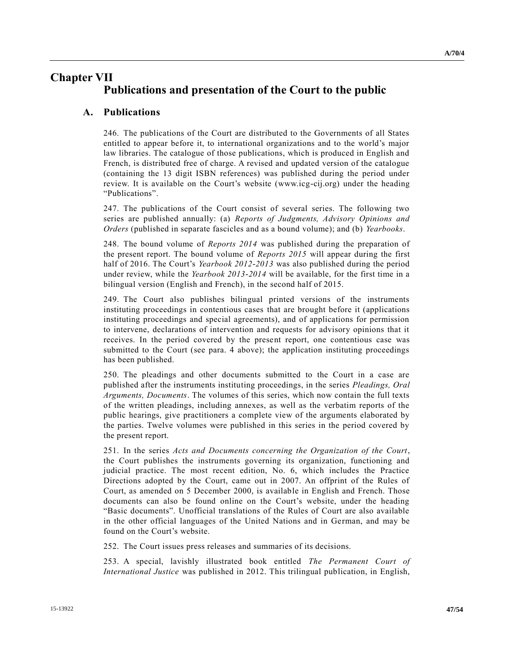## **Chapter VII Publications and presentation of the Court to the public**

### **A. Publications**

246. The publications of the Court are distributed to the Governments of all States entitled to appear before it, to international organizations and to the world's major law libraries. The catalogue of those publications, which is produced in English and French, is distributed free of charge. A revised and updated version of the catalogue (containing the 13 digit ISBN references) was published during the period under review. It is available on the Court's website (www.icg-cij.org) under the heading "Publications".

247. The publications of the Court consist of several series. The following two series are published annually: (a) *Reports of Judgments, Advisory Opinions and Orders* (published in separate fascicles and as a bound volume); and (b) *Yearbooks*.

248. The bound volume of *Reports 2014* was published during the preparation of the present report. The bound volume of *Reports 2015* will appear during the first half of 2016. The Court's *Yearbook 2012-2013* was also published during the period under review, while the *Yearbook 2013-2014* will be available, for the first time in a bilingual version (English and French), in the second half of 2015.

249. The Court also publishes bilingual printed versions of the instruments instituting proceedings in contentious cases that are brought before it (applications instituting proceedings and special agreements), and of applications for permission to intervene, declarations of intervention and requests for advisory opinions that it receives. In the period covered by the present report, one contentious case was submitted to the Court (see para. 4 above); the application instituting proceedings has been published.

250. The pleadings and other documents submitted to the Court in a case are published after the instruments instituting proceedings, in the series *Pleadings, Oral Arguments, Documents*. The volumes of this series, which now contain the full texts of the written pleadings, including annexes, as well as the verbatim reports of the public hearings, give practitioners a complete view of the arguments elaborated by the parties. Twelve volumes were published in this series in the period covered by the present report.

251. In the series *Acts and Documents concerning the Organization of the Court*, the Court publishes the instruments governing its organization, functioning and judicial practice. The most recent edition, No. 6, which includes the Practice Directions adopted by the Court, came out in 2007. An offprint of the Rules of Court, as amended on 5 December 2000, is available in English and French. Those documents can also be found online on the Court's website, under the heading "Basic documents". Unofficial translations of the Rules of Court are also available in the other official languages of the United Nations and in German, and may be found on the Court's website.

252. The Court issues press releases and summaries of its decisions.

253. A special, lavishly illustrated book entitled *The Permanent Court of International Justice* was published in 2012. This trilingual publication, in English,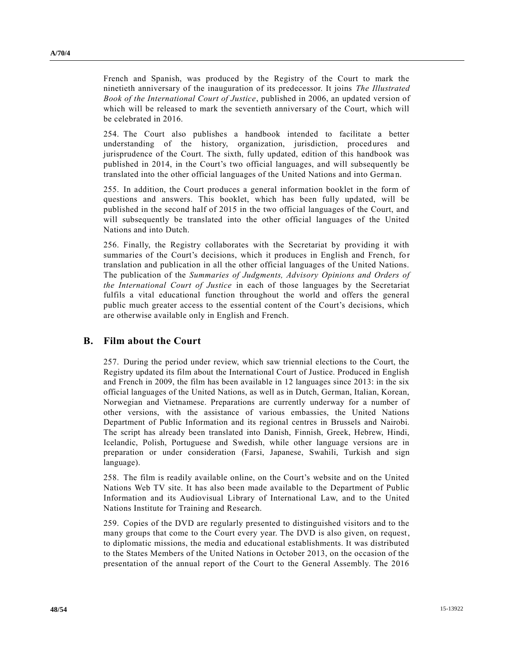French and Spanish, was produced by the Registry of the Court to mark the ninetieth anniversary of the inauguration of its predecessor. It joins *The Illustrated Book of the International Court of Justice*, published in 2006, an updated version of which will be released to mark the seventieth anniversary of the Court, which will be celebrated in 2016.

254. The Court also publishes a handbook intended to facilitate a better understanding of the history, organization, jurisdiction, procedures and jurisprudence of the Court. The sixth, fully updated, edition of this handbook was published in 2014, in the Court's two official languages, and will subsequently be translated into the other official languages of the United Nations and into Germa n.

255. In addition, the Court produces a general information booklet in the form of questions and answers. This booklet, which has been fully updated, will be published in the second half of 2015 in the two official languages of the Court, and will subsequently be translated into the other official languages of the United Nations and into Dutch.

256. Finally, the Registry collaborates with the Secretariat by providing it with summaries of the Court's decisions, which it produces in English and French, for translation and publication in all the other official languages of the United Nations. The publication of the *Summaries of Judgments, Advisory Opinions and Orders of the International Court of Justice* in each of those languages by the Secretariat fulfils a vital educational function throughout the world and offers the general public much greater access to the essential content of the Court's decisions, which are otherwise available only in English and French.

### **B. Film about the Court**

257. During the period under review, which saw triennial elections to the Court, the Registry updated its film about the International Court of Justice. Produced in English and French in 2009, the film has been available in 12 languages since 2013: in the six official languages of the United Nations, as well as in Dutch, German, Italian, Korean, Norwegian and Vietnamese. Preparations are currently underway for a number of other versions, with the assistance of various embassies, the United Nations Department of Public Information and its regional centres in Brussels and Nairobi. The script has already been translated into Danish, Finnish, Greek, Hebrew, Hindi, Icelandic, Polish, Portuguese and Swedish, while other language versions are in preparation or under consideration (Farsi, Japanese, Swahili, Turkish and sign language).

258. The film is readily available online, on the Court's website and on the United Nations Web TV site. It has also been made available to the Department of Public Information and its Audiovisual Library of International Law, and to the United Nations Institute for Training and Research.

259. Copies of the DVD are regularly presented to distinguished visitors and to the many groups that come to the Court every year. The DVD is also given, on request, to diplomatic missions, the media and educational establishments. It was distributed to the States Members of the United Nations in October 2013, on the occasion of the presentation of the annual report of the Court to the General Assembly. The 2016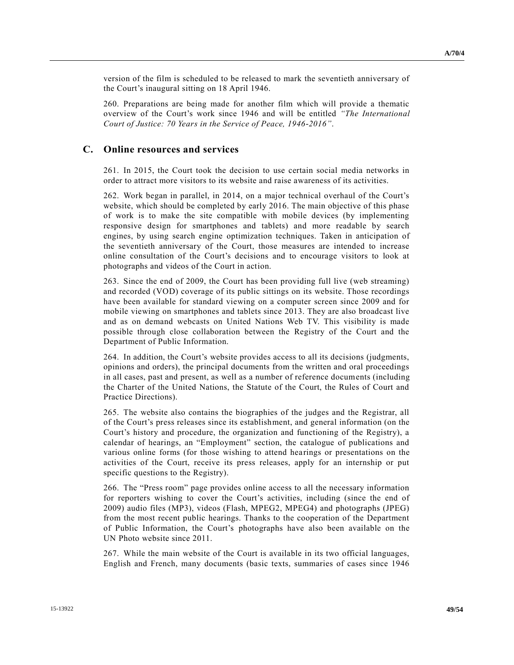version of the film is scheduled to be released to mark the seventieth anniversary of the Court's inaugural sitting on 18 April 1946.

260. Preparations are being made for another film which will provide a thematic overview of the Court's work since 1946 and will be entitled *"The International Court of Justice: 70 Years in the Service of Peace, 1946-2016"*.

### **C. Online resources and services**

261. In 2015, the Court took the decision to use certain social media networks in order to attract more visitors to its website and raise awareness of its activities.

262. Work began in parallel, in 2014, on a major technical overhaul of the Court's website, which should be completed by early 2016. The main objective of this phase of work is to make the site compatible with mobile devices (by implementing responsive design for smartphones and tablets) and more readable by search engines, by using search engine optimization techniques. Taken in anticipation of the seventieth anniversary of the Court, those measures are intended to increase online consultation of the Court's decisions and to encourage visitors to look at photographs and videos of the Court in action.

263. Since the end of 2009, the Court has been providing full live (web streaming) and recorded (VOD) coverage of its public sittings on its website. Those recordings have been available for standard viewing on a computer screen since 2009 and for mobile viewing on smartphones and tablets since 2013. They are also broadcast live and as on demand webcasts on United Nations Web TV. This visibility is made possible through close collaboration between the Registry of the Court and the Department of Public Information.

264. In addition, the Court's website provides access to all its decisions (judgments, opinions and orders), the principal documents from the written and oral proceedings in all cases, past and present, as well as a number of reference documents (including the Charter of the United Nations, the Statute of the Court, the Rules of Court and Practice Directions).

265. The website also contains the biographies of the judges and the Registrar, all of the Court's press releases since its establishment, and general information (on the Court's history and procedure, the organization and functioning of the Registry), a calendar of hearings, an "Employment" section, the catalogue of publications and various online forms (for those wishing to attend hearings or presentations on the activities of the Court, receive its press releases, apply for an internship or put specific questions to the Registry).

266. The "Press room" page provides online access to all the necessary information for reporters wishing to cover the Court's activities, including (since the end of 2009) audio files (MP3), videos (Flash, MPEG2, MPEG4) and photographs (JPEG) from the most recent public hearings. Thanks to the cooperation of the Department of Public Information, the Court's photographs have also been available on the UN Photo website since 2011.

267. While the main website of the Court is available in its two official languages, English and French, many documents (basic texts, summaries of cases since 1946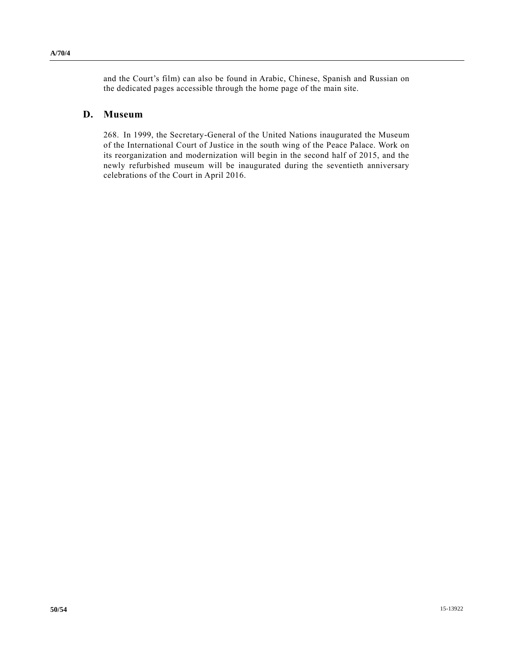and the Court's film) can also be found in Arabic, Chinese, Spanish and Russian on the dedicated pages accessible through the home page of the main site.

### **D. Museum**

268. In 1999, the Secretary-General of the United Nations inaugurated the Museum of the International Court of Justice in the south wing of the Peace Palace. Work on its reorganization and modernization will begin in the second half of 2015, and the newly refurbished museum will be inaugurated during the seventieth anniversary celebrations of the Court in April 2016.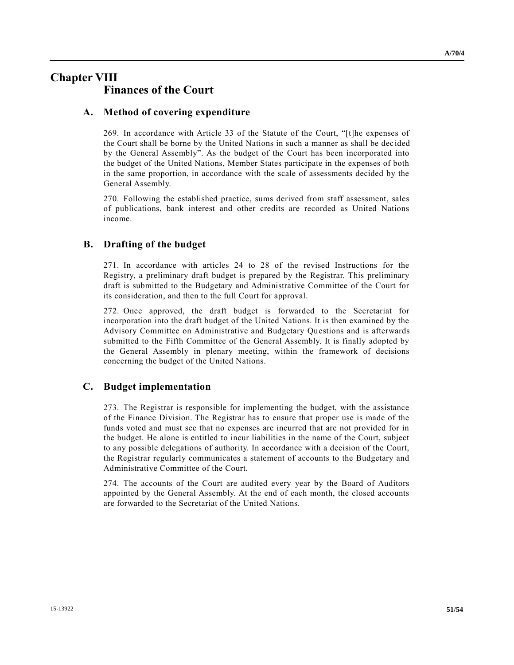## **Chapter VIII Finances of the Court**

### **A. Method of covering expenditure**

269. In accordance with Article 33 of the Statute of the Court, "[t]he expenses of the Court shall be borne by the United Nations in such a manner as shall be dec ided by the General Assembly". As the budget of the Court has been incorporated into the budget of the United Nations, Member States participate in the expenses of both in the same proportion, in accordance with the scale of assessments decided by the General Assembly.

270. Following the established practice, sums derived from staff assessment, sales of publications, bank interest and other credits are recorded as United Nations income.

### **B. Drafting of the budget**

271. In accordance with articles 24 to 28 of the revised Instructions for the Registry, a preliminary draft budget is prepared by the Registrar. This preliminary draft is submitted to the Budgetary and Administrative Committee of the Court for its consideration, and then to the full Court for approval.

272. Once approved, the draft budget is forwarded to the Secretariat for incorporation into the draft budget of the United Nations. It is then examined by the Advisory Committee on Administrative and Budgetary Questions and is afterwards submitted to the Fifth Committee of the General Assembly. It is finally adopted by the General Assembly in plenary meeting, within the framework of decisions concerning the budget of the United Nations.

### **C. Budget implementation**

273. The Registrar is responsible for implementing the budget, with the assistance of the Finance Division. The Registrar has to ensure that proper use is made of the funds voted and must see that no expenses are incurred that are not provided for in the budget. He alone is entitled to incur liabilities in the name of the Court, subject to any possible delegations of authority. In accordance with a decision of the Court, the Registrar regularly communicates a statement of accounts to the Budgetary and Administrative Committee of the Court.

274. The accounts of the Court are audited every year by the Board of Auditors appointed by the General Assembly. At the end of each month, the closed accounts are forwarded to the Secretariat of the United Nations.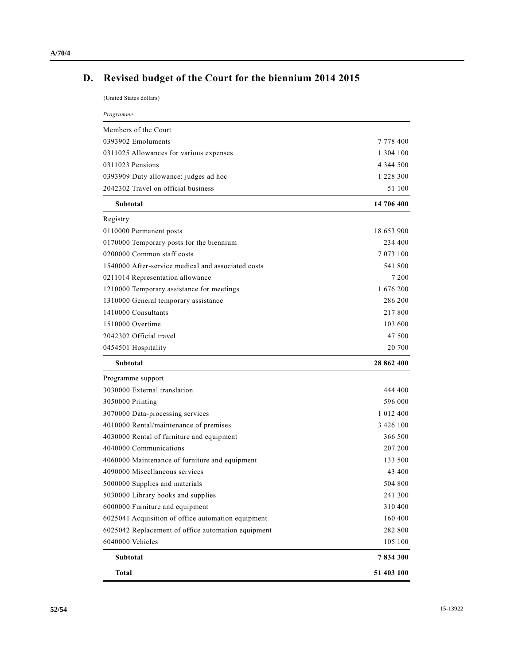## **D. Revised budget of the Court for the biennium 2014 2015**

(United States dollars)

| Programme                                          |               |
|----------------------------------------------------|---------------|
| Members of the Court                               |               |
| 0393902 Emoluments                                 | 7 778 400     |
| 0311025 Allowances for various expenses            | 1 304 100     |
| 0311023 Pensions                                   | 4 344 500     |
| 0393909 Duty allowance: judges ad hoc              | 1 228 300     |
| 2042302 Travel on official business                | 51 100        |
| Subtotal                                           | 14 706 400    |
| Registry                                           |               |
| 0110000 Permanent posts                            | 18 653 900    |
| 0170000 Temporary posts for the biennium           | 234 400       |
| 0200000 Common staff costs                         | 7 073 100     |
| 1540000 After-service medical and associated costs | 541 800       |
| 0211014 Representation allowance                   | 7 200         |
| 1210000 Temporary assistance for meetings          | 1 676 200     |
| 1310000 General temporary assistance               | 286 200       |
| 1410000 Consultants                                | 217800        |
| 1510000 Overtime                                   | 103 600       |
| 2042302 Official travel                            | 47 500        |
| 0454501 Hospitality                                | 20 700        |
| Subtotal                                           | 28 862 400    |
| Programme support                                  |               |
| 3030000 External translation                       | 444 400       |
| 3050000 Printing                                   | 596 000       |
| 3070000 Data-processing services                   | 1 0 1 2 4 0 0 |
| 4010000 Rental/maintenance of premises             | 3 4 2 6 1 0 0 |
| 4030000 Rental of furniture and equipment          | 366 500       |
| 4040000 Communications                             | 207 200       |
| 4060000 Maintenance of furniture and equipment     | 133 500       |
| 4090000 Miscellaneous services                     | 43 400        |
| 5000000 Supplies and materials                     | 504 800       |
| 5030000 Library books and supplies                 | 241 300       |
| 6000000 Furniture and equipment                    | 310 400       |
| 6025041 Acquisition of office automation equipment | 160 400       |
| 6025042 Replacement of office automation equipment | 282 800       |
| 6040000 Vehicles                                   | 105 100       |
| Subtotal                                           | 7834300       |
| Total                                              | 51 403 100    |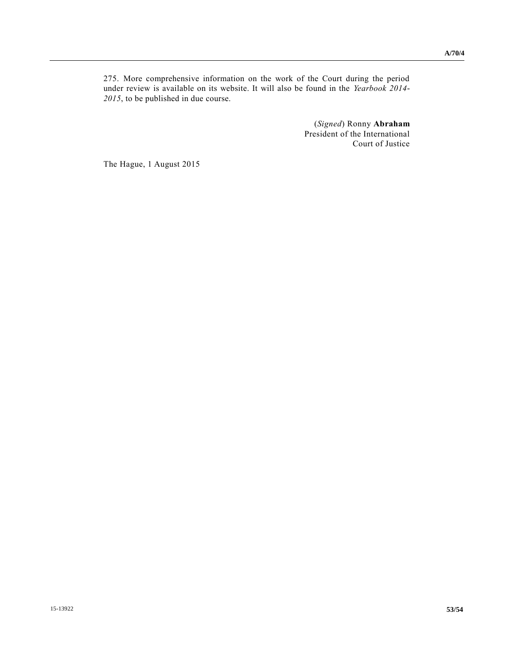275. More comprehensive information on the work of the Court during the period under review is available on its website. It will also be found in the *Yearbook 2014- 2015*, to be published in due course.

> (*Signed*) Ronny **Abraham** President of the International Court of Justice

The Hague, 1 August 2015